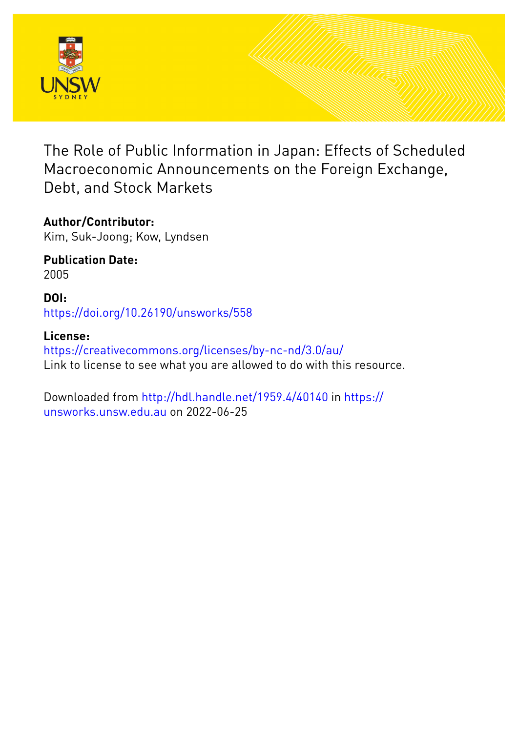

The Role of Public Information in Japan: Effects of Scheduled Macroeconomic Announcements on the Foreign Exchange, Debt, and Stock Markets

**Author/Contributor:** Kim, Suk-Joong; Kow, Lyndsen

**Publication Date:** 2005

**DOI:** [https://doi.org/10.26190/unsworks/558](http://dx.doi.org/https://doi.org/10.26190/unsworks/558)

**License:** <https://creativecommons.org/licenses/by-nc-nd/3.0/au/> Link to license to see what you are allowed to do with this resource.

Downloaded from <http://hdl.handle.net/1959.4/40140> in [https://](https://unsworks.unsw.edu.au) [unsworks.unsw.edu.au](https://unsworks.unsw.edu.au) on 2022-06-25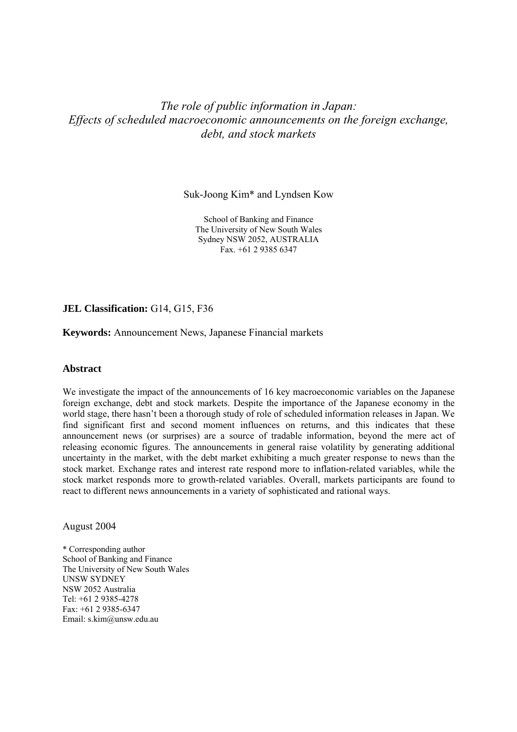# *The role of public information in Japan: Effects of scheduled macroeconomic announcements on the foreign exchange, debt, and stock markets*

Suk-Joong Kim\* and Lyndsen Kow

School of Banking and Finance The University of New South Wales Sydney NSW 2052, AUSTRALIA Fax. +61 2 9385 6347

### **JEL Classification:** G14, G15, F36

**Keywords:** Announcement News, Japanese Financial markets

### **Abstract**

We investigate the impact of the announcements of 16 key macroeconomic variables on the Japanese foreign exchange, debt and stock markets. Despite the importance of the Japanese economy in the world stage, there hasn't been a thorough study of role of scheduled information releases in Japan. We find significant first and second moment influences on returns, and this indicates that these announcement news (or surprises) are a source of tradable information, beyond the mere act of releasing economic figures. The announcements in general raise volatility by generating additional uncertainty in the market, with the debt market exhibiting a much greater response to news than the stock market. Exchange rates and interest rate respond more to inflation-related variables, while the stock market responds more to growth-related variables. Overall, markets participants are found to react to different news announcements in a variety of sophisticated and rational ways.

August 2004

\* Corresponding author School of Banking and Finance The University of New South Wales UNSW SYDNEY NSW 2052 Australia Tel: +61 2 9385-4278 Fax: +61 2 9385-6347 Email: s.kim@unsw.edu.au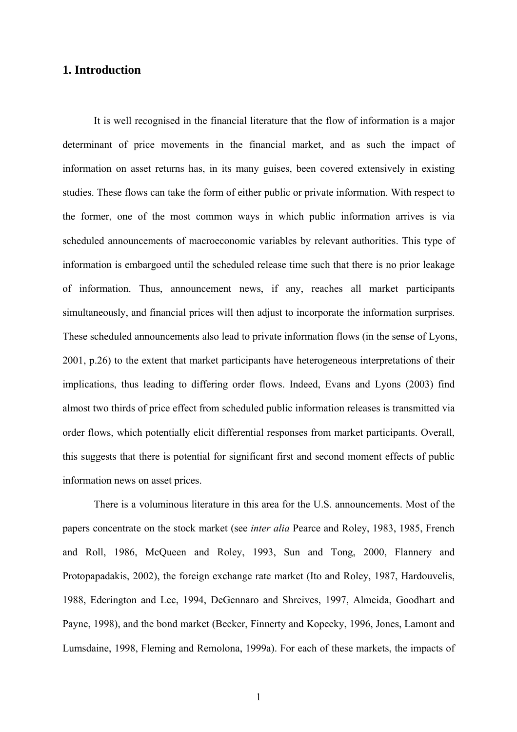# **1. Introduction**

It is well recognised in the financial literature that the flow of information is a major determinant of price movements in the financial market, and as such the impact of information on asset returns has, in its many guises, been covered extensively in existing studies. These flows can take the form of either public or private information. With respect to the former, one of the most common ways in which public information arrives is via scheduled announcements of macroeconomic variables by relevant authorities. This type of information is embargoed until the scheduled release time such that there is no prior leakage of information. Thus, announcement news, if any, reaches all market participants simultaneously, and financial prices will then adjust to incorporate the information surprises. These scheduled announcements also lead to private information flows (in the sense of Lyons, 2001, p.26) to the extent that market participants have heterogeneous interpretations of their implications, thus leading to differing order flows. Indeed, Evans and Lyons (2003) find almost two thirds of price effect from scheduled public information releases is transmitted via order flows, which potentially elicit differential responses from market participants. Overall, this suggests that there is potential for significant first and second moment effects of public information news on asset prices.

There is a voluminous literature in this area for the U.S. announcements. Most of the papers concentrate on the stock market (see *inter alia* Pearce and Roley, 1983, 1985, French and Roll, 1986, McQueen and Roley, 1993, Sun and Tong, 2000, Flannery and Protopapadakis, 2002), the foreign exchange rate market (Ito and Roley, 1987, Hardouvelis, 1988, Ederington and Lee, 1994, DeGennaro and Shreives, 1997, Almeida, Goodhart and Payne, 1998), and the bond market (Becker, Finnerty and Kopecky, 1996, Jones, Lamont and Lumsdaine, 1998, Fleming and Remolona, 1999a). For each of these markets, the impacts of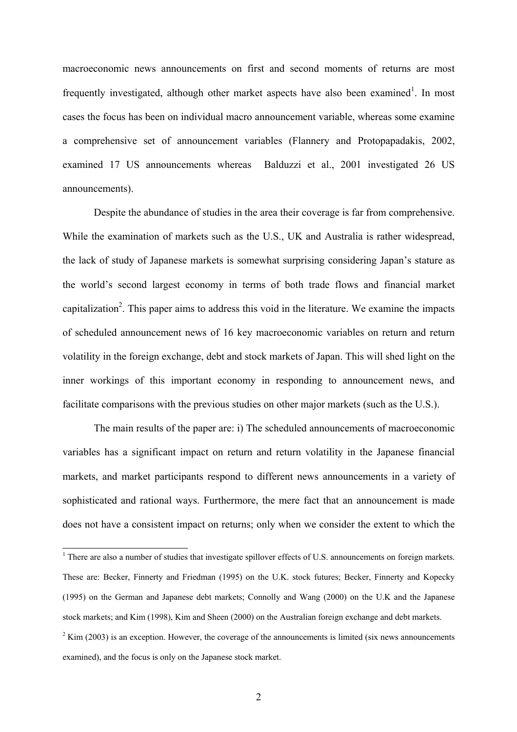macroeconomic news announcements on first and second moments of returns are most frequently investigated, although other market aspects have also been examined<sup>1</sup>. In most cases the focus has been on individual macro announcement variable, whereas some examine a comprehensive set of announcement variables (Flannery and Protopapadakis, 2002, examined 17 US announcements whereas Balduzzi et al., 2001 investigated 26 US announcements).

Despite the abundance of studies in the area their coverage is far from comprehensive. While the examination of markets such as the U.S., UK and Australia is rather widespread, the lack of study of Japanese markets is somewhat surprising considering Japan's stature as the world's second largest economy in terms of both trade flows and financial market capitalization<sup>2</sup>. This paper aims to address this void in the literature. We examine the impacts of scheduled announcement news of 16 key macroeconomic variables on return and return volatility in the foreign exchange, debt and stock markets of Japan. This will shed light on the inner workings of this important economy in responding to announcement news, and facilitate comparisons with the previous studies on other major markets (such as the U.S.).

The main results of the paper are: i) The scheduled announcements of macroeconomic variables has a significant impact on return and return volatility in the Japanese financial markets, and market participants respond to different news announcements in a variety of sophisticated and rational ways. Furthermore, the mere fact that an announcement is made does not have a consistent impact on returns; only when we consider the extent to which the

<sup>&</sup>lt;sup>1</sup> There are also a number of studies that investigate spillover effects of U.S. announcements on foreign markets. These are: Becker, Finnerty and Friedman (1995) on the U.K. stock futures; Becker, Finnerty and Kopecky (1995) on the German and Japanese debt markets; Connolly and Wang (2000) on the U.K and the Japanese stock markets; and Kim (1998), Kim and Sheen (2000) on the Australian foreign exchange and debt markets.

 $2$  Kim (2003) is an exception. However, the coverage of the announcements is limited (six news announcements examined), and the focus is only on the Japanese stock market.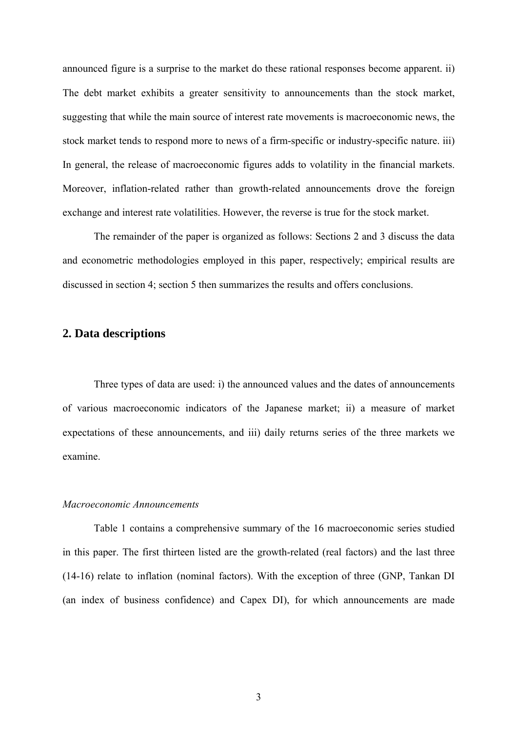announced figure is a surprise to the market do these rational responses become apparent. ii) The debt market exhibits a greater sensitivity to announcements than the stock market, suggesting that while the main source of interest rate movements is macroeconomic news, the stock market tends to respond more to news of a firm-specific or industry-specific nature. iii) In general, the release of macroeconomic figures adds to volatility in the financial markets. Moreover, inflation-related rather than growth-related announcements drove the foreign exchange and interest rate volatilities. However, the reverse is true for the stock market.

 The remainder of the paper is organized as follows: Sections 2 and 3 discuss the data and econometric methodologies employed in this paper, respectively; empirical results are discussed in section 4; section 5 then summarizes the results and offers conclusions.

# **2. Data descriptions**

Three types of data are used: i) the announced values and the dates of announcements of various macroeconomic indicators of the Japanese market; ii) a measure of market expectations of these announcements, and iii) daily returns series of the three markets we examine.

### *Macroeconomic Announcements*

Table 1 contains a comprehensive summary of the 16 macroeconomic series studied in this paper. The first thirteen listed are the growth-related (real factors) and the last three (14-16) relate to inflation (nominal factors). With the exception of three (GNP, Tankan DI (an index of business confidence) and Capex DI), for which announcements are made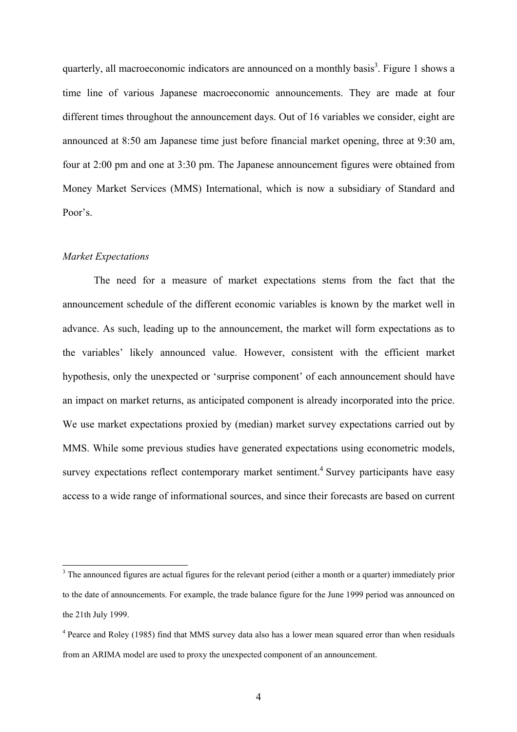quarterly, all macroeconomic indicators are announced on a monthly basis<sup>3</sup>. Figure 1 shows a time line of various Japanese macroeconomic announcements. They are made at four different times throughout the announcement days. Out of 16 variables we consider, eight are announced at 8:50 am Japanese time just before financial market opening, three at 9:30 am, four at 2:00 pm and one at 3:30 pm. The Japanese announcement figures were obtained from Money Market Services (MMS) International, which is now a subsidiary of Standard and Poor's.

### *Market Expectations*

 $\overline{a}$ 

The need for a measure of market expectations stems from the fact that the announcement schedule of the different economic variables is known by the market well in advance. As such, leading up to the announcement, the market will form expectations as to the variables' likely announced value. However, consistent with the efficient market hypothesis, only the unexpected or 'surprise component' of each announcement should have an impact on market returns, as anticipated component is already incorporated into the price. We use market expectations proxied by (median) market survey expectations carried out by MMS. While some previous studies have generated expectations using econometric models, survey expectations reflect contemporary market sentiment.<sup>4</sup> Survey participants have easy access to a wide range of informational sources, and since their forecasts are based on current

 $3$  The announced figures are actual figures for the relevant period (either a month or a quarter) immediately prior to the date of announcements. For example, the trade balance figure for the June 1999 period was announced on the 21th July 1999.

<sup>&</sup>lt;sup>4</sup> Pearce and Roley (1985) find that MMS survey data also has a lower mean squared error than when residuals from an ARIMA model are used to proxy the unexpected component of an announcement.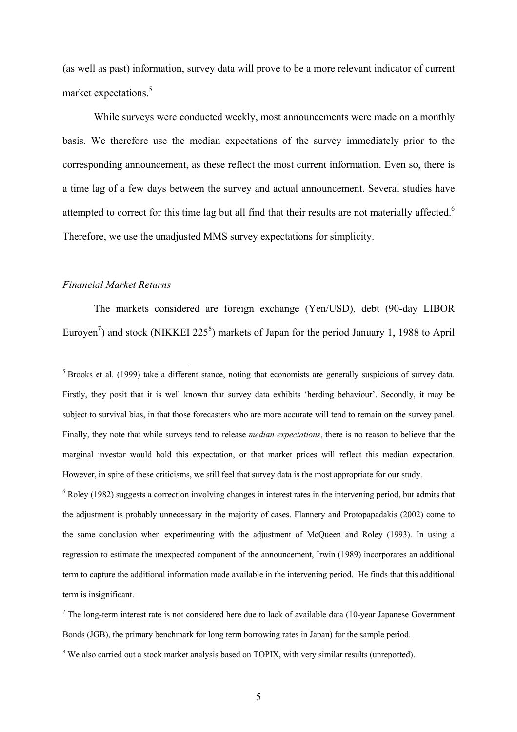(as well as past) information, survey data will prove to be a more relevant indicator of current market expectations.<sup>5</sup>

While surveys were conducted weekly, most announcements were made on a monthly basis. We therefore use the median expectations of the survey immediately prior to the corresponding announcement, as these reflect the most current information. Even so, there is a time lag of a few days between the survey and actual announcement. Several studies have attempted to correct for this time lag but all find that their results are not materially affected.<sup>6</sup> Therefore, we use the unadjusted MMS survey expectations for simplicity.

### *Financial Market Returns*

The markets considered are foreign exchange (Yen/USD), debt (90-day LIBOR Euroyen<sup>7</sup>) and stock (NIKKEI 225<sup>8</sup>) markets of Japan for the period January 1, 1988 to April

 $6$  Roley (1982) suggests a correction involving changes in interest rates in the intervening period, but admits that the adjustment is probably unnecessary in the majority of cases. Flannery and Protopapadakis (2002) come to the same conclusion when experimenting with the adjustment of McQueen and Roley (1993). In using a regression to estimate the unexpected component of the announcement, Irwin (1989) incorporates an additional term to capture the additional information made available in the intervening period. He finds that this additional term is insignificant.

<sup>&</sup>lt;sup>5</sup> Brooks et al. (1999) take a different stance, noting that economists are generally suspicious of survey data. Firstly, they posit that it is well known that survey data exhibits 'herding behaviour'. Secondly, it may be subject to survival bias, in that those forecasters who are more accurate will tend to remain on the survey panel. Finally, they note that while surveys tend to release *median expectations*, there is no reason to believe that the marginal investor would hold this expectation, or that market prices will reflect this median expectation. However, in spite of these criticisms, we still feel that survey data is the most appropriate for our study.

 $<sup>7</sup>$  The long-term interest rate is not considered here due to lack of available data (10-year Japanese Government</sup> Bonds (JGB), the primary benchmark for long term borrowing rates in Japan) for the sample period.

 $8$  We also carried out a stock market analysis based on TOPIX, with very similar results (unreported).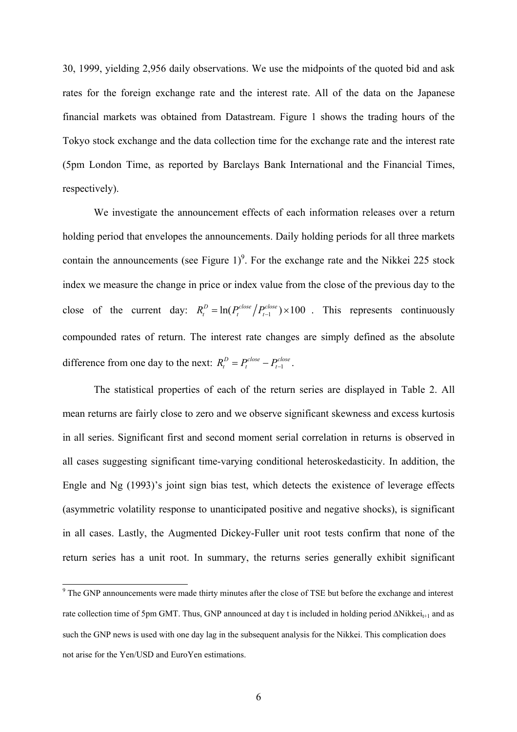30, 1999, yielding 2,956 daily observations. We use the midpoints of the quoted bid and ask rates for the foreign exchange rate and the interest rate. All of the data on the Japanese financial markets was obtained from Datastream. Figure 1 shows the trading hours of the Tokyo stock exchange and the data collection time for the exchange rate and the interest rate (5pm London Time, as reported by Barclays Bank International and the Financial Times, respectively).

 We investigate the announcement effects of each information releases over a return holding period that envelopes the announcements. Daily holding periods for all three markets contain the announcements (see Figure 1)<sup>9</sup>. For the exchange rate and the Nikkei 225 stock index we measure the change in price or index value from the close of the previous day to the close of the current day:  $R_t^D = \ln(P_t^{close} / P_{t-1}^{close}) \times 100$ . This represents continuously compounded rates of return. The interest rate changes are simply defined as the absolute difference from one day to the next:  $R_t^D = P_t^{close} - P_{t-1}^{close}$ .

The statistical properties of each of the return series are displayed in Table 2. All mean returns are fairly close to zero and we observe significant skewness and excess kurtosis in all series. Significant first and second moment serial correlation in returns is observed in all cases suggesting significant time-varying conditional heteroskedasticity. In addition, the Engle and Ng (1993)'s joint sign bias test, which detects the existence of leverage effects (asymmetric volatility response to unanticipated positive and negative shocks), is significant in all cases. Lastly, the Augmented Dickey-Fuller unit root tests confirm that none of the return series has a unit root. In summary, the returns series generally exhibit significant

<sup>&</sup>lt;sup>9</sup> The GNP announcements were made thirty minutes after the close of TSE but before the exchange and interest rate collection time of 5pm GMT. Thus, GNP announced at day t is included in holding period ∆Nikkei<sub>t+1</sub> and as such the GNP news is used with one day lag in the subsequent analysis for the Nikkei. This complication does not arise for the Yen/USD and EuroYen estimations.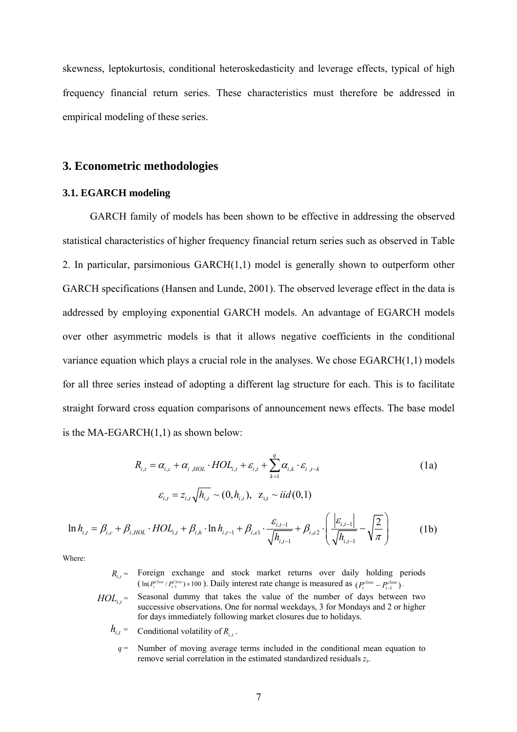skewness, leptokurtosis, conditional heteroskedasticity and leverage effects, typical of high frequency financial return series. These characteristics must therefore be addressed in empirical modeling of these series.

## **3. Econometric methodologies**

### **3.1. EGARCH modeling**

GARCH family of models has been shown to be effective in addressing the observed statistical characteristics of higher frequency financial return series such as observed in Table 2. In particular, parsimonious GARCH(1,1) model is generally shown to outperform other GARCH specifications (Hansen and Lunde, 2001). The observed leverage effect in the data is addressed by employing exponential GARCH models. An advantage of EGARCH models over other asymmetric models is that it allows negative coefficients in the conditional variance equation which plays a crucial role in the analyses. We chose EGARCH(1,1) models for all three series instead of adopting a different lag structure for each. This is to facilitate straight forward cross equation comparisons of announcement news effects. The base model is the MA-EGARCH $(1,1)$  as shown below:

$$
R_{i,t} = \alpha_{i,c} + \alpha_{i,HOL} \cdot HOL_{i,t} + \varepsilon_{i,t} + \sum_{k=1}^{q} \alpha_{i,k} \cdot \varepsilon_{i,t-k}
$$
  
\n
$$
\varepsilon_{i,t} = z_{i,t} \sqrt{h_{i,t}} \sim (0, h_{i,t}), \ \ z_{i,t} \sim \text{iid}(0,1)
$$
 (1a)

$$
\ln h_{i,t} = \beta_{i,c} + \beta_{i,HOL} \cdot HOL_{i,t} + \beta_{i,h} \cdot \ln h_{i,t-1} + \beta_{i,e1} \cdot \frac{\varepsilon_{i,t-1}}{\sqrt{h_{i,t-1}}} + \beta_{i,e2} \cdot \left(\frac{|\varepsilon_{i,t-1}|}{\sqrt{h_{i,t-1}}} - \sqrt{\frac{2}{\pi}}\right)
$$
(1b)

Where:

*R*<sub>i,t</sub> = Foreign exchange and stock market returns over daily holding periods 
$$
(\ln(P_t^{close}/P_{t-1}^{close}) \times 100)
$$
. Daily interest rate change is measured as  $(P_t^{close} - P_{t-1}^{close})$ .

- $HOL_{i,t}$  = Seasonal dummy that takes the value of the number of days between two successive observations. One for normal weekdays, 3 for Mondays and 2 or higher for days immediately following market closures due to holidays.
	- $h_{i,t}$  = Conditional volatility of  $R_{i,t}$ .
		- $q =$ Number of moving average terms included in the conditional mean equation to remove serial correlation in the estimated standardized residuals *zt*.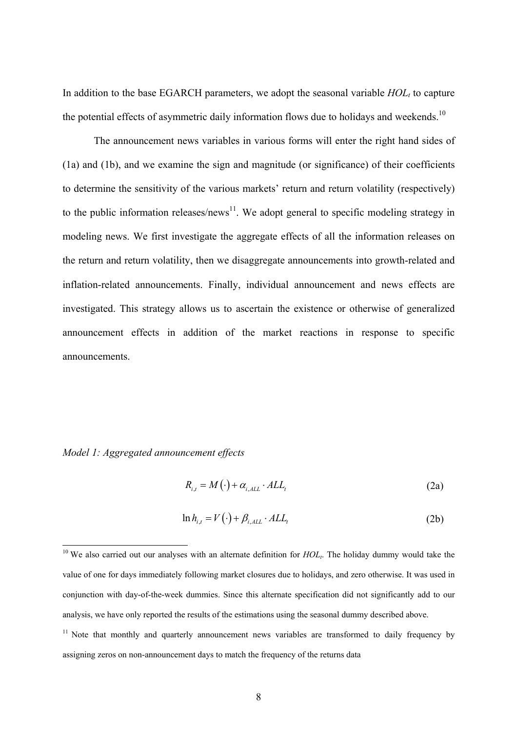In addition to the base EGARCH parameters, we adopt the seasonal variable  $HOL<sub>t</sub>$  to capture the potential effects of asymmetric daily information flows due to holidays and weekends.<sup>10</sup>

The announcement news variables in various forms will enter the right hand sides of (1a) and (1b), and we examine the sign and magnitude (or significance) of their coefficients to determine the sensitivity of the various markets' return and return volatility (respectively) to the public information releases/news<sup>11</sup>. We adopt general to specific modeling strategy in modeling news. We first investigate the aggregate effects of all the information releases on the return and return volatility, then we disaggregate announcements into growth-related and inflation-related announcements. Finally, individual announcement and news effects are investigated. This strategy allows us to ascertain the existence or otherwise of generalized announcement effects in addition of the market reactions in response to specific announcements.

### *Model 1: Aggregated announcement effects*

$$
R_{i,t} = M\left(\cdot\right) + \alpha_{i,ALL} \cdot ALL_t \tag{2a}
$$

$$
\ln h_{i,t} = V(\cdot) + \beta_{i,ALL} \cdot ALL_t \tag{2b}
$$

<sup>&</sup>lt;sup>10</sup> We also carried out our analyses with an alternate definition for  $HOL<sub>t</sub>$ . The holiday dummy would take the value of one for days immediately following market closures due to holidays, and zero otherwise. It was used in conjunction with day-of-the-week dummies. Since this alternate specification did not significantly add to our analysis, we have only reported the results of the estimations using the seasonal dummy described above.

 $11$  Note that monthly and quarterly announcement news variables are transformed to daily frequency by assigning zeros on non-announcement days to match the frequency of the returns data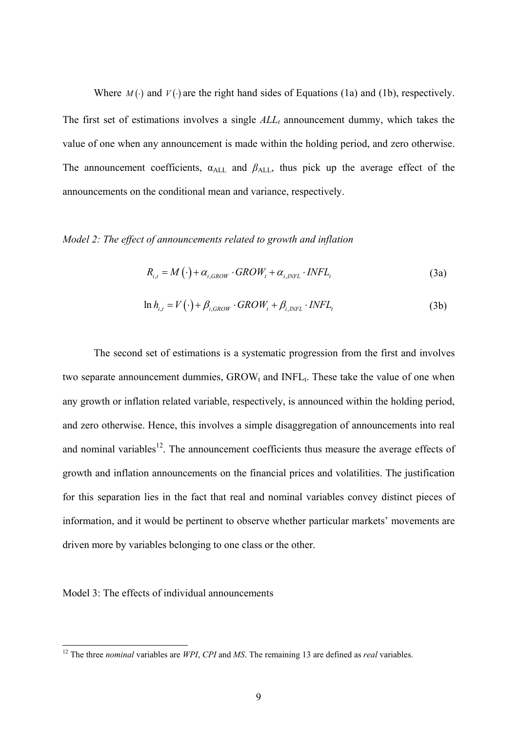Where  $M(\cdot)$  and  $V(\cdot)$  are the right hand sides of Equations (1a) and (1b), respectively. The first set of estimations involves a single  $ALL<sub>t</sub>$  announcement dummy, which takes the value of one when any announcement is made within the holding period, and zero otherwise. The announcement coefficients,  $\alpha_{\text{ALL}}$  and  $\beta_{\text{ALL}}$ , thus pick up the average effect of the announcements on the conditional mean and variance, respectively.

#### *Model 2: The effect of announcements related to growth and inflation*

$$
R_{i,t} = M(\cdot) + \alpha_{i,GROW} \cdot GROW_t + \alpha_{i,NFL} \cdot INFL_t
$$
\n(3a)

$$
\ln h_{i,t} = V(\cdot) + \beta_{i,GROW} \cdot GROW_t + \beta_{i,NFL} \cdot INFL_t \tag{3b}
$$

The second set of estimations is a systematic progression from the first and involves two separate announcement dummies,  $\text{GROW}_t$  and  $\text{INFL}_t$ . These take the value of one when any growth or inflation related variable, respectively, is announced within the holding period, and zero otherwise. Hence, this involves a simple disaggregation of announcements into real and nominal variables $12$ . The announcement coefficients thus measure the average effects of growth and inflation announcements on the financial prices and volatilities. The justification for this separation lies in the fact that real and nominal variables convey distinct pieces of information, and it would be pertinent to observe whether particular markets' movements are driven more by variables belonging to one class or the other.

Model 3: The effects of individual announcements

<sup>12</sup> The three *nominal* variables are *WPI*, *CPI* and *MS*. The remaining 13 are defined as *real* variables.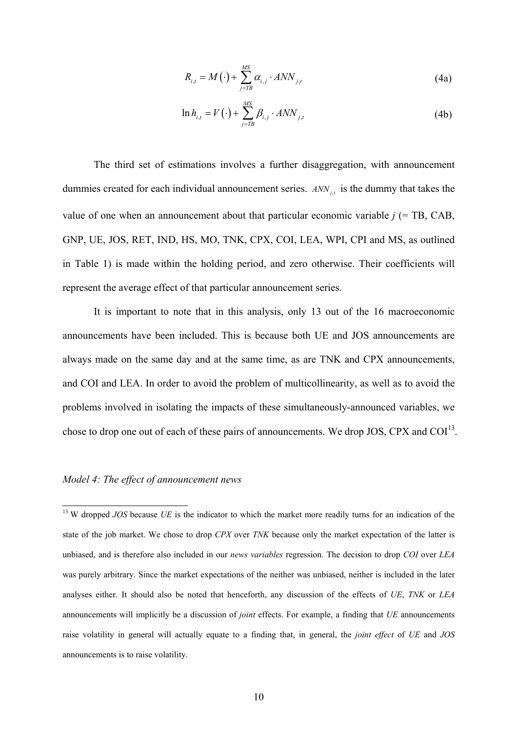$$
R_{i,t} = M\left(\cdot\right) + \sum_{j=TB}^{MS} \alpha_{i,j} \cdot ANN_{j,t} \tag{4a}
$$

$$
\ln h_{i,t} = V(\cdot) + \sum_{j=TB}^{MS} \beta_{i,j} \cdot ANN_{j,t}
$$
\n(4b)

The third set of estimations involves a further disaggregation, with announcement dummies created for each individual announcement series. *ANN<sub>it</sub>* is the dummy that takes the value of one when an announcement about that particular economic variable  $j$  (= TB, CAB, GNP, UE, JOS, RET, IND, HS, MO, TNK, CPX, COI, LEA, WPI, CPI and MS, as outlined in Table 1) is made within the holding period, and zero otherwise. Their coefficients will represent the average effect of that particular announcement series.

It is important to note that in this analysis, only 13 out of the 16 macroeconomic announcements have been included. This is because both UE and JOS announcements are always made on the same day and at the same time, as are TNK and CPX announcements, and COI and LEA. In order to avoid the problem of multicollinearity, as well as to avoid the problems involved in isolating the impacts of these simultaneously-announced variables, we chose to drop one out of each of these pairs of announcements. We drop JOS, CPX and  $COI<sup>13</sup>$ .

### *Model 4: The effect of announcement news*

<sup>&</sup>lt;sup>13</sup> W dropped *JOS* because *UE* is the indicator to which the market more readily turns for an indication of the state of the job market. We chose to drop *CPX* over *TNK* because only the market expectation of the latter is unbiased, and is therefore also included in our *news variables* regression. The decision to drop *COI* over *LEA* was purely arbitrary. Since the market expectations of the neither was unbiased, neither is included in the later analyses either. It should also be noted that henceforth, any discussion of the effects of *UE*, *TNK* or *LEA* announcements will implicitly be a discussion of *joint* effects. For example, a finding that *UE* announcements raise volatility in general will actually equate to a finding that, in general, the *joint effect* of *UE* and *JOS* announcements is to raise volatility.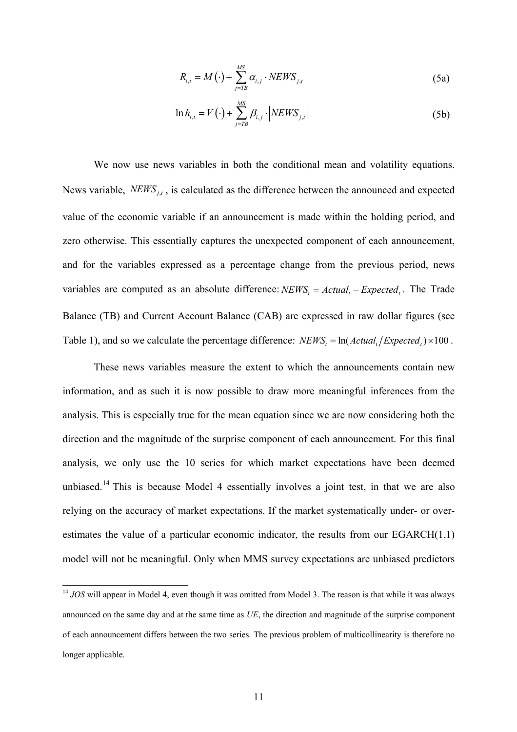$$
R_{i,t} = M\left(\cdot\right) + \sum_{j=TB}^{MS} \alpha_{i,j} \cdot NEWS_{j,t} \tag{5a}
$$

$$
\ln h_{i,t} = V(\cdot) + \sum_{j=TB}^{MS} \beta_{i,j} \cdot \left| NEWS_{j,t} \right| \tag{5b}
$$

We now use news variables in both the conditional mean and volatility equations. News variable, *NEWS<sub>it</sub>*, is calculated as the difference between the announced and expected value of the economic variable if an announcement is made within the holding period, and zero otherwise. This essentially captures the unexpected component of each announcement, and for the variables expressed as a percentage change from the previous period, news variables are computed as an absolute difference: *NEWS*, =  $Actual$ , =  $Expected$ . The Trade Balance (TB) and Current Account Balance (CAB) are expressed in raw dollar figures (see Table 1), and so we calculate the percentage difference:  $NEWS_t = ln(Actual_t/Expected_t) \times 100$ .

These news variables measure the extent to which the announcements contain new information, and as such it is now possible to draw more meaningful inferences from the analysis. This is especially true for the mean equation since we are now considering both the direction and the magnitude of the surprise component of each announcement. For this final analysis, we only use the 10 series for which market expectations have been deemed unbiased.<sup>14</sup> This is because Model 4 essentially involves a joint test, in that we are also relying on the accuracy of market expectations. If the market systematically under- or overestimates the value of a particular economic indicator, the results from our EGARCH(1,1) model will not be meaningful. Only when MMS survey expectations are unbiased predictors

<sup>&</sup>lt;sup>14</sup> *JOS* will appear in Model 4, even though it was omitted from Model 3. The reason is that while it was always announced on the same day and at the same time as *UE*, the direction and magnitude of the surprise component of each announcement differs between the two series. The previous problem of multicollinearity is therefore no longer applicable.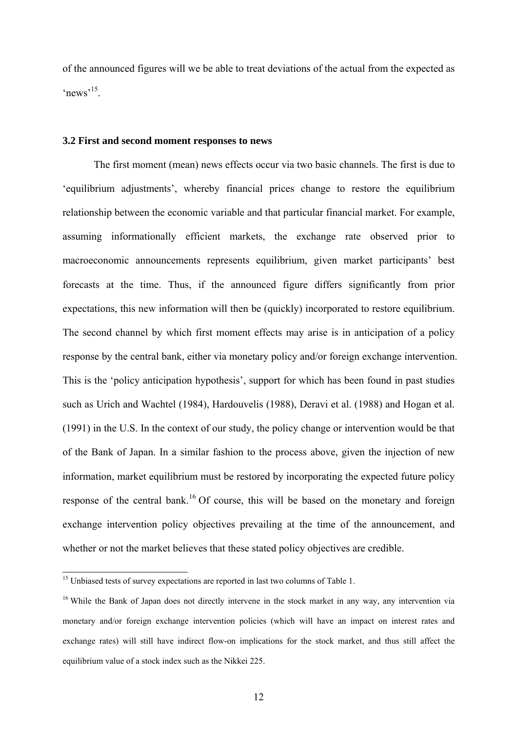of the announced figures will we be able to treat deviations of the actual from the expected as  $^{\circ}$ news<sup>,15</sup>

#### **3.2 First and second moment responses to news**

The first moment (mean) news effects occur via two basic channels. The first is due to 'equilibrium adjustments', whereby financial prices change to restore the equilibrium relationship between the economic variable and that particular financial market. For example, assuming informationally efficient markets, the exchange rate observed prior to macroeconomic announcements represents equilibrium, given market participants' best forecasts at the time. Thus, if the announced figure differs significantly from prior expectations, this new information will then be (quickly) incorporated to restore equilibrium. The second channel by which first moment effects may arise is in anticipation of a policy response by the central bank, either via monetary policy and/or foreign exchange intervention. This is the 'policy anticipation hypothesis', support for which has been found in past studies such as Urich and Wachtel (1984), Hardouvelis (1988), Deravi et al. (1988) and Hogan et al. (1991) in the U.S. In the context of our study, the policy change or intervention would be that of the Bank of Japan. In a similar fashion to the process above, given the injection of new information, market equilibrium must be restored by incorporating the expected future policy response of the central bank.<sup>16</sup> Of course, this will be based on the monetary and foreign exchange intervention policy objectives prevailing at the time of the announcement, and whether or not the market believes that these stated policy objectives are credible.

<sup>&</sup>lt;sup>15</sup> Unbiased tests of survey expectations are reported in last two columns of Table 1.

<sup>&</sup>lt;sup>16</sup> While the Bank of Japan does not directly intervene in the stock market in any way, any intervention via monetary and/or foreign exchange intervention policies (which will have an impact on interest rates and exchange rates) will still have indirect flow-on implications for the stock market, and thus still affect the equilibrium value of a stock index such as the Nikkei 225.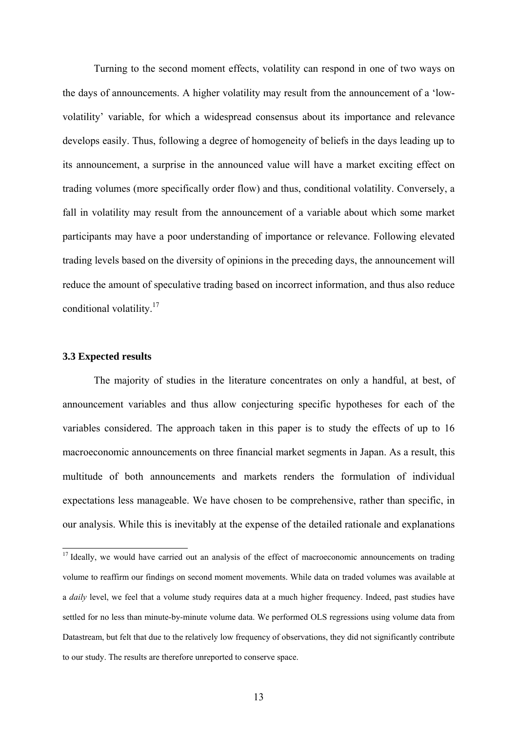Turning to the second moment effects, volatility can respond in one of two ways on the days of announcements. A higher volatility may result from the announcement of a 'lowvolatility' variable, for which a widespread consensus about its importance and relevance develops easily. Thus, following a degree of homogeneity of beliefs in the days leading up to its announcement, a surprise in the announced value will have a market exciting effect on trading volumes (more specifically order flow) and thus, conditional volatility. Conversely, a fall in volatility may result from the announcement of a variable about which some market participants may have a poor understanding of importance or relevance. Following elevated trading levels based on the diversity of opinions in the preceding days, the announcement will reduce the amount of speculative trading based on incorrect information, and thus also reduce conditional volatility.<sup>17</sup>

### **3.3 Expected results**

 $\overline{a}$ 

The majority of studies in the literature concentrates on only a handful, at best, of announcement variables and thus allow conjecturing specific hypotheses for each of the variables considered. The approach taken in this paper is to study the effects of up to 16 macroeconomic announcements on three financial market segments in Japan. As a result, this multitude of both announcements and markets renders the formulation of individual expectations less manageable. We have chosen to be comprehensive, rather than specific, in our analysis. While this is inevitably at the expense of the detailed rationale and explanations

<sup>&</sup>lt;sup>17</sup> Ideally, we would have carried out an analysis of the effect of macroeconomic announcements on trading volume to reaffirm our findings on second moment movements. While data on traded volumes was available at a *daily* level, we feel that a volume study requires data at a much higher frequency. Indeed, past studies have settled for no less than minute-by-minute volume data. We performed OLS regressions using volume data from Datastream, but felt that due to the relatively low frequency of observations, they did not significantly contribute to our study. The results are therefore unreported to conserve space.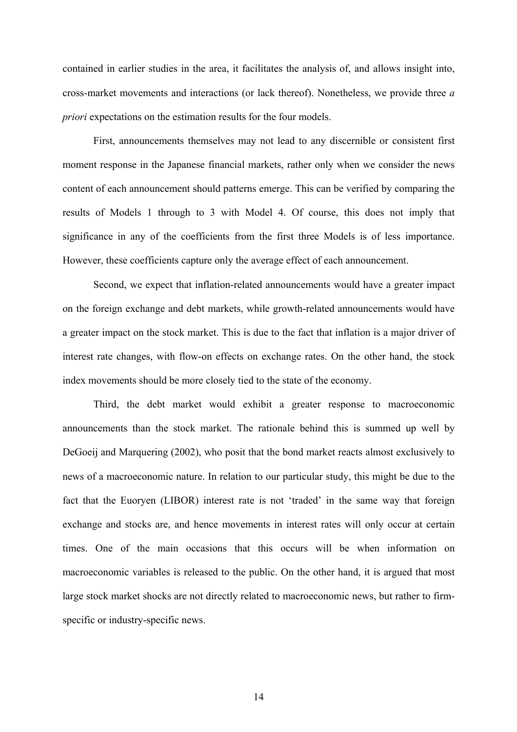contained in earlier studies in the area, it facilitates the analysis of, and allows insight into, cross-market movements and interactions (or lack thereof). Nonetheless, we provide three *a priori* expectations on the estimation results for the four models.

First, announcements themselves may not lead to any discernible or consistent first moment response in the Japanese financial markets, rather only when we consider the news content of each announcement should patterns emerge. This can be verified by comparing the results of Models 1 through to 3 with Model 4. Of course, this does not imply that significance in any of the coefficients from the first three Models is of less importance. However, these coefficients capture only the average effect of each announcement.

Second, we expect that inflation-related announcements would have a greater impact on the foreign exchange and debt markets, while growth-related announcements would have a greater impact on the stock market. This is due to the fact that inflation is a major driver of interest rate changes, with flow-on effects on exchange rates. On the other hand, the stock index movements should be more closely tied to the state of the economy.

Third, the debt market would exhibit a greater response to macroeconomic announcements than the stock market. The rationale behind this is summed up well by DeGoeij and Marquering (2002), who posit that the bond market reacts almost exclusively to news of a macroeconomic nature. In relation to our particular study, this might be due to the fact that the Euoryen (LIBOR) interest rate is not 'traded' in the same way that foreign exchange and stocks are, and hence movements in interest rates will only occur at certain times. One of the main occasions that this occurs will be when information on macroeconomic variables is released to the public. On the other hand, it is argued that most large stock market shocks are not directly related to macroeconomic news, but rather to firmspecific or industry-specific news.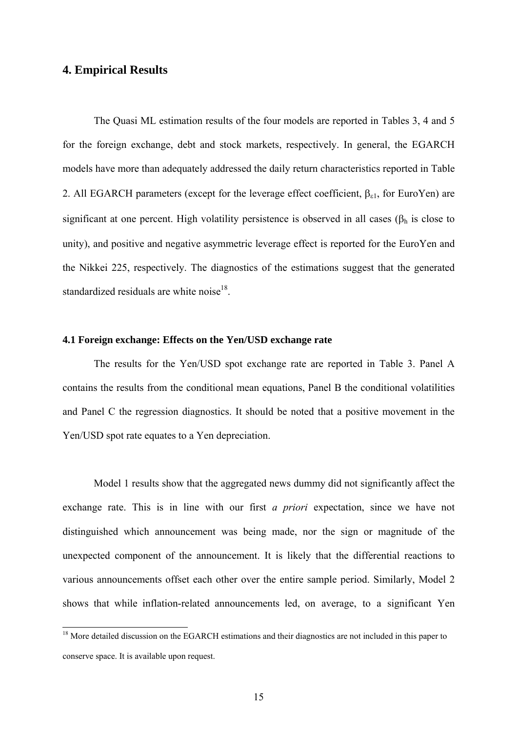### **4. Empirical Results**

 $\overline{\phantom{a}}$ 

The Quasi ML estimation results of the four models are reported in Tables 3, 4 and 5 for the foreign exchange, debt and stock markets, respectively. In general, the EGARCH models have more than adequately addressed the daily return characteristics reported in Table 2. All EGARCH parameters (except for the leverage effect coefficient,  $\beta_{\epsilon 1}$ , for EuroYen) are significant at one percent. High volatility persistence is observed in all cases ( $\beta_h$  is close to unity), and positive and negative asymmetric leverage effect is reported for the EuroYen and the Nikkei 225, respectively. The diagnostics of the estimations suggest that the generated standardized residuals are white noise<sup>18</sup>.

### **4.1 Foreign exchange: Effects on the Yen/USD exchange rate**

The results for the Yen/USD spot exchange rate are reported in Table 3. Panel A contains the results from the conditional mean equations, Panel B the conditional volatilities and Panel C the regression diagnostics. It should be noted that a positive movement in the Yen/USD spot rate equates to a Yen depreciation.

Model 1 results show that the aggregated news dummy did not significantly affect the exchange rate. This is in line with our first *a priori* expectation, since we have not distinguished which announcement was being made, nor the sign or magnitude of the unexpected component of the announcement. It is likely that the differential reactions to various announcements offset each other over the entire sample period. Similarly, Model 2 shows that while inflation-related announcements led, on average, to a significant Yen

<sup>&</sup>lt;sup>18</sup> More detailed discussion on the EGARCH estimations and their diagnostics are not included in this paper to conserve space. It is available upon request.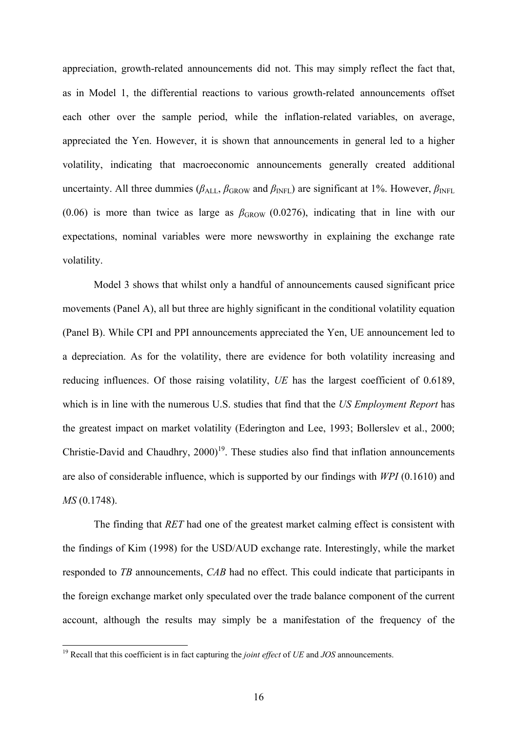appreciation, growth-related announcements did not. This may simply reflect the fact that, as in Model 1, the differential reactions to various growth-related announcements offset each other over the sample period, while the inflation-related variables, on average, appreciated the Yen. However, it is shown that announcements in general led to a higher volatility, indicating that macroeconomic announcements generally created additional uncertainty. All three dummies ( $\beta_{ALL}$ ,  $\beta_{GROW}$  and  $\beta_{INFL}$ ) are significant at 1%. However,  $\beta_{INFL}$ (0.06) is more than twice as large as  $\beta_{\rm GROW}$  (0.0276), indicating that in line with our expectations, nominal variables were more newsworthy in explaining the exchange rate volatility.

Model 3 shows that whilst only a handful of announcements caused significant price movements (Panel A), all but three are highly significant in the conditional volatility equation (Panel B). While CPI and PPI announcements appreciated the Yen, UE announcement led to a depreciation. As for the volatility, there are evidence for both volatility increasing and reducing influences. Of those raising volatility, *UE* has the largest coefficient of 0.6189, which is in line with the numerous U.S. studies that find that the *US Employment Report* has the greatest impact on market volatility (Ederington and Lee, 1993; Bollerslev et al., 2000; Christie-David and Chaudhry,  $2000$ <sup>19</sup>. These studies also find that inflation announcements are also of considerable influence, which is supported by our findings with *WPI* (0.1610) and *MS* (0.1748).

The finding that *RET* had one of the greatest market calming effect is consistent with the findings of Kim (1998) for the USD/AUD exchange rate. Interestingly, while the market responded to *TB* announcements, *CAB* had no effect. This could indicate that participants in the foreign exchange market only speculated over the trade balance component of the current account, although the results may simply be a manifestation of the frequency of the

 $\overline{\phantom{a}}$ 

<sup>19</sup> Recall that this coefficient is in fact capturing the *joint effect* of *UE* and *JOS* announcements.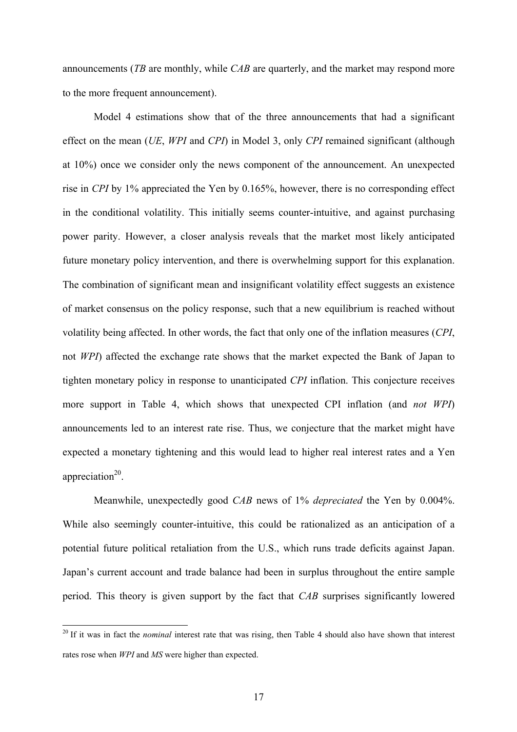announcements (*TB* are monthly, while *CAB* are quarterly, and the market may respond more to the more frequent announcement).

Model 4 estimations show that of the three announcements that had a significant effect on the mean (*UE*, *WPI* and *CPI*) in Model 3, only *CPI* remained significant (although at 10%) once we consider only the news component of the announcement. An unexpected rise in *CPI* by 1% appreciated the Yen by 0.165%, however, there is no corresponding effect in the conditional volatility. This initially seems counter-intuitive, and against purchasing power parity. However, a closer analysis reveals that the market most likely anticipated future monetary policy intervention, and there is overwhelming support for this explanation. The combination of significant mean and insignificant volatility effect suggests an existence of market consensus on the policy response, such that a new equilibrium is reached without volatility being affected. In other words, the fact that only one of the inflation measures (*CPI*, not *WPI*) affected the exchange rate shows that the market expected the Bank of Japan to tighten monetary policy in response to unanticipated *CPI* inflation. This conjecture receives more support in Table 4, which shows that unexpected CPI inflation (and *not WPI*) announcements led to an interest rate rise. Thus, we conjecture that the market might have expected a monetary tightening and this would lead to higher real interest rates and a Yen appreciation $20$ .

Meanwhile, unexpectedly good *CAB* news of 1% *depreciated* the Yen by 0.004%. While also seemingly counter-intuitive, this could be rationalized as an anticipation of a potential future political retaliation from the U.S., which runs trade deficits against Japan. Japan's current account and trade balance had been in surplus throughout the entire sample period. This theory is given support by the fact that *CAB* surprises significantly lowered

 $\overline{\phantom{a}}$ 

<sup>&</sup>lt;sup>20</sup> If it was in fact the *nominal* interest rate that was rising, then Table 4 should also have shown that interest rates rose when *WPI* and *MS* were higher than expected.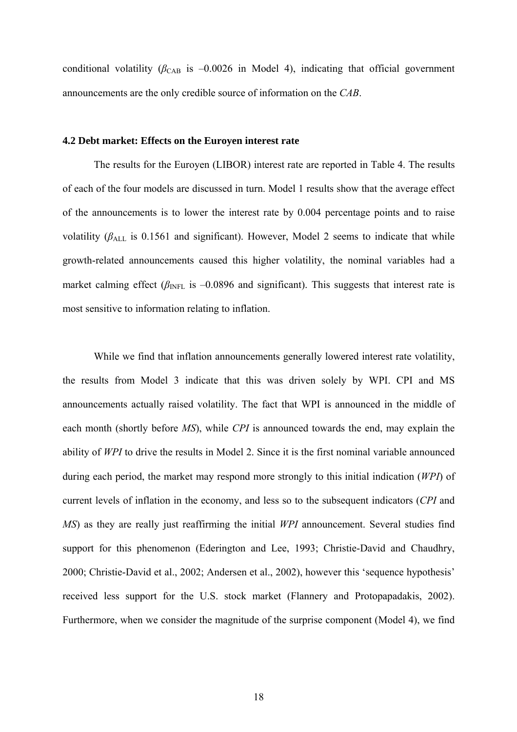conditional volatility ( $\beta_{\text{CAB}}$  is  $-0.0026$  in Model 4), indicating that official government announcements are the only credible source of information on the *CAB*.

#### **4.2 Debt market: Effects on the Euroyen interest rate**

The results for the Euroyen (LIBOR) interest rate are reported in Table 4. The results of each of the four models are discussed in turn. Model 1 results show that the average effect of the announcements is to lower the interest rate by 0.004 percentage points and to raise volatility ( $\beta_{ALL}$  is 0.1561 and significant). However, Model 2 seems to indicate that while growth-related announcements caused this higher volatility, the nominal variables had a market calming effect ( $\beta_{\text{INFL}}$  is  $-0.0896$  and significant). This suggests that interest rate is most sensitive to information relating to inflation.

While we find that inflation announcements generally lowered interest rate volatility, the results from Model 3 indicate that this was driven solely by WPI. CPI and MS announcements actually raised volatility. The fact that WPI is announced in the middle of each month (shortly before *MS*), while *CPI* is announced towards the end, may explain the ability of *WPI* to drive the results in Model 2. Since it is the first nominal variable announced during each period, the market may respond more strongly to this initial indication (*WPI*) of current levels of inflation in the economy, and less so to the subsequent indicators (*CPI* and *MS*) as they are really just reaffirming the initial *WPI* announcement. Several studies find support for this phenomenon (Ederington and Lee, 1993; Christie-David and Chaudhry, 2000; Christie-David et al., 2002; Andersen et al., 2002), however this 'sequence hypothesis' received less support for the U.S. stock market (Flannery and Protopapadakis, 2002). Furthermore, when we consider the magnitude of the surprise component (Model 4), we find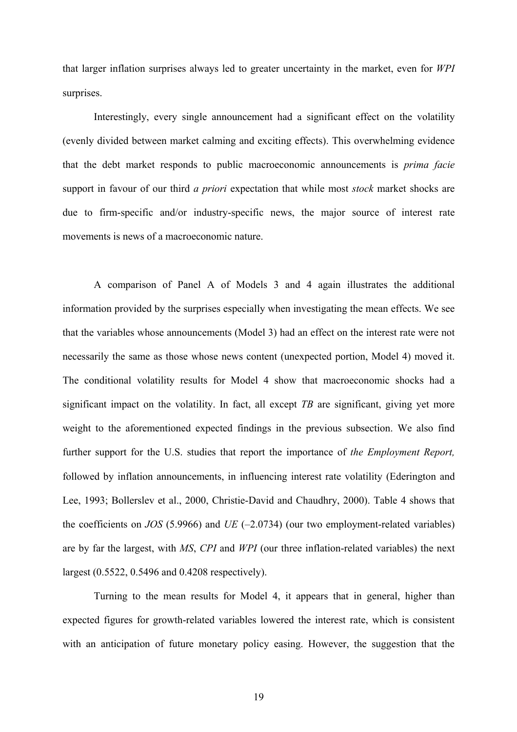that larger inflation surprises always led to greater uncertainty in the market, even for *WPI* surprises.

Interestingly, every single announcement had a significant effect on the volatility (evenly divided between market calming and exciting effects). This overwhelming evidence that the debt market responds to public macroeconomic announcements is *prima facie* support in favour of our third *a priori* expectation that while most *stock* market shocks are due to firm-specific and/or industry-specific news, the major source of interest rate movements is news of a macroeconomic nature.

A comparison of Panel A of Models 3 and 4 again illustrates the additional information provided by the surprises especially when investigating the mean effects. We see that the variables whose announcements (Model 3) had an effect on the interest rate were not necessarily the same as those whose news content (unexpected portion, Model 4) moved it. The conditional volatility results for Model 4 show that macroeconomic shocks had a significant impact on the volatility. In fact, all except *TB* are significant, giving yet more weight to the aforementioned expected findings in the previous subsection. We also find further support for the U.S. studies that report the importance of *the Employment Report,* followed by inflation announcements, in influencing interest rate volatility (Ederington and Lee, 1993; Bollerslev et al., 2000, Christie-David and Chaudhry, 2000). Table 4 shows that the coefficients on *JOS* (5.9966) and *UE* (–2.0734) (our two employment-related variables) are by far the largest, with *MS*, *CPI* and *WPI* (our three inflation-related variables) the next largest (0.5522, 0.5496 and 0.4208 respectively).

Turning to the mean results for Model 4, it appears that in general, higher than expected figures for growth-related variables lowered the interest rate, which is consistent with an anticipation of future monetary policy easing. However, the suggestion that the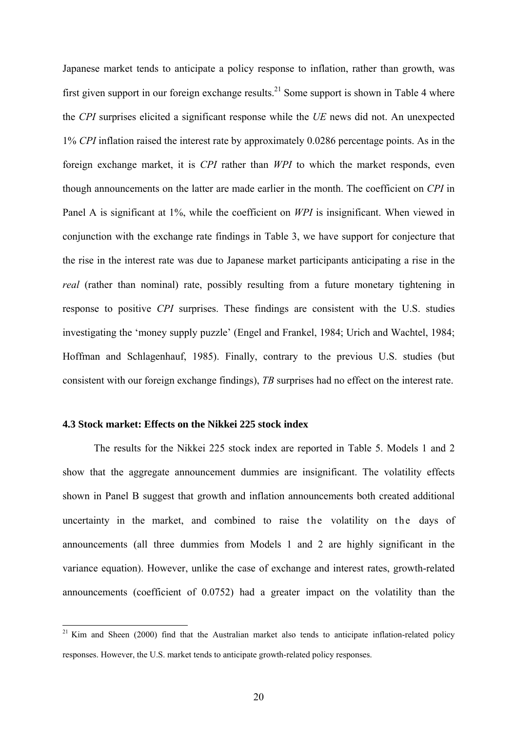Japanese market tends to anticipate a policy response to inflation, rather than growth, was first given support in our foreign exchange results.<sup>21</sup> Some support is shown in Table 4 where the *CPI* surprises elicited a significant response while the *UE* news did not. An unexpected 1% *CPI* inflation raised the interest rate by approximately 0.0286 percentage points. As in the foreign exchange market, it is *CPI* rather than *WPI* to which the market responds, even though announcements on the latter are made earlier in the month. The coefficient on *CPI* in Panel A is significant at 1%, while the coefficient on *WPI* is insignificant. When viewed in conjunction with the exchange rate findings in Table 3, we have support for conjecture that the rise in the interest rate was due to Japanese market participants anticipating a rise in the *real* (rather than nominal) rate, possibly resulting from a future monetary tightening in response to positive *CPI* surprises. These findings are consistent with the U.S. studies investigating the 'money supply puzzle' (Engel and Frankel, 1984; Urich and Wachtel, 1984; Hoffman and Schlagenhauf, 1985). Finally, contrary to the previous U.S. studies (but consistent with our foreign exchange findings), *TB* surprises had no effect on the interest rate.

### **4.3 Stock market: Effects on the Nikkei 225 stock index**

 $\overline{\phantom{a}}$ 

The results for the Nikkei 225 stock index are reported in Table 5. Models 1 and 2 show that the aggregate announcement dummies are insignificant. The volatility effects shown in Panel B suggest that growth and inflation announcements both created additional uncertainty in the market, and combined to raise the volatility on the days of announcements (all three dummies from Models 1 and 2 are highly significant in the variance equation). However, unlike the case of exchange and interest rates, growth-related announcements (coefficient of 0.0752) had a greater impact on the volatility than the

 $21$  Kim and Sheen (2000) find that the Australian market also tends to anticipate inflation-related policy responses. However, the U.S. market tends to anticipate growth-related policy responses.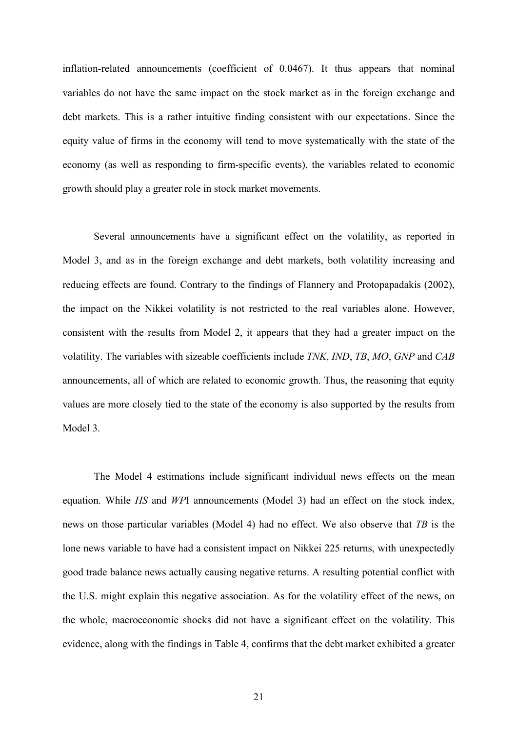inflation-related announcements (coefficient of 0.0467). It thus appears that nominal variables do not have the same impact on the stock market as in the foreign exchange and debt markets. This is a rather intuitive finding consistent with our expectations. Since the equity value of firms in the economy will tend to move systematically with the state of the economy (as well as responding to firm-specific events), the variables related to economic growth should play a greater role in stock market movements.

Several announcements have a significant effect on the volatility, as reported in Model 3, and as in the foreign exchange and debt markets, both volatility increasing and reducing effects are found. Contrary to the findings of Flannery and Protopapadakis (2002), the impact on the Nikkei volatility is not restricted to the real variables alone. However, consistent with the results from Model 2, it appears that they had a greater impact on the volatility. The variables with sizeable coefficients include *TNK*, *IND*, *TB*, *MO*, *GNP* and *CAB* announcements, all of which are related to economic growth. Thus, the reasoning that equity values are more closely tied to the state of the economy is also supported by the results from Model 3.

The Model 4 estimations include significant individual news effects on the mean equation. While *HS* and *WP*I announcements (Model 3) had an effect on the stock index, news on those particular variables (Model 4) had no effect. We also observe that *TB* is the lone news variable to have had a consistent impact on Nikkei 225 returns, with unexpectedly good trade balance news actually causing negative returns. A resulting potential conflict with the U.S. might explain this negative association. As for the volatility effect of the news, on the whole, macroeconomic shocks did not have a significant effect on the volatility. This evidence, along with the findings in Table 4, confirms that the debt market exhibited a greater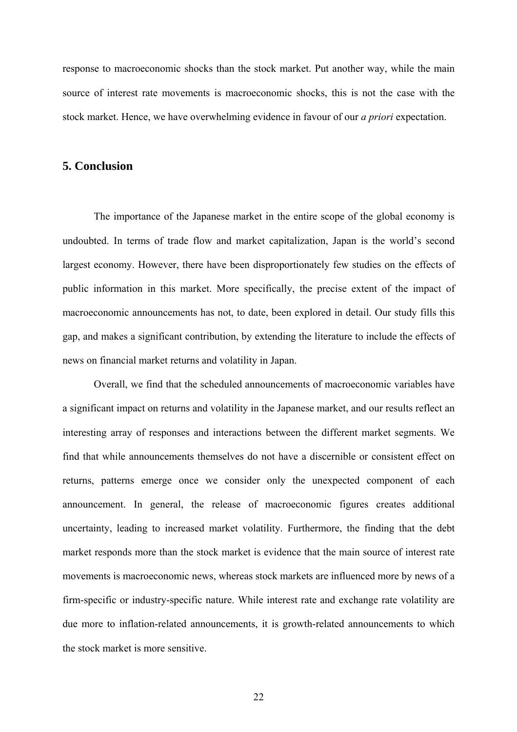response to macroeconomic shocks than the stock market. Put another way, while the main source of interest rate movements is macroeconomic shocks, this is not the case with the stock market. Hence, we have overwhelming evidence in favour of our *a priori* expectation.

## **5. Conclusion**

The importance of the Japanese market in the entire scope of the global economy is undoubted. In terms of trade flow and market capitalization, Japan is the world's second largest economy. However, there have been disproportionately few studies on the effects of public information in this market. More specifically, the precise extent of the impact of macroeconomic announcements has not, to date, been explored in detail. Our study fills this gap, and makes a significant contribution, by extending the literature to include the effects of news on financial market returns and volatility in Japan.

Overall, we find that the scheduled announcements of macroeconomic variables have a significant impact on returns and volatility in the Japanese market, and our results reflect an interesting array of responses and interactions between the different market segments. We find that while announcements themselves do not have a discernible or consistent effect on returns, patterns emerge once we consider only the unexpected component of each announcement. In general, the release of macroeconomic figures creates additional uncertainty, leading to increased market volatility. Furthermore, the finding that the debt market responds more than the stock market is evidence that the main source of interest rate movements is macroeconomic news, whereas stock markets are influenced more by news of a firm-specific or industry-specific nature. While interest rate and exchange rate volatility are due more to inflation-related announcements, it is growth-related announcements to which the stock market is more sensitive.

22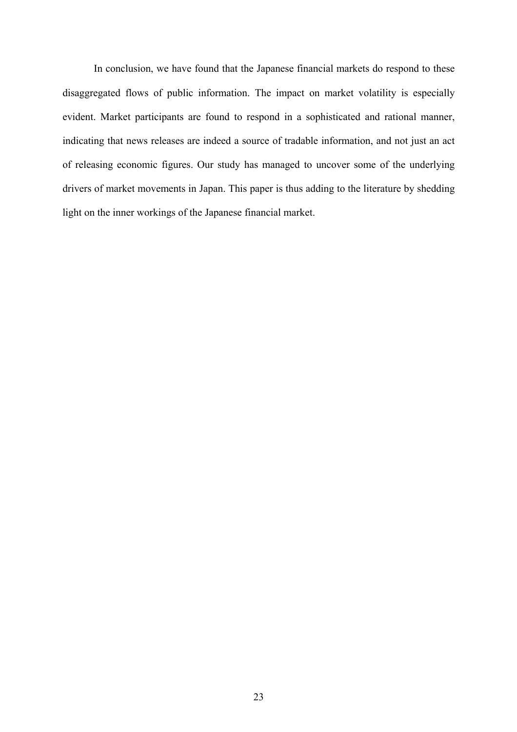In conclusion, we have found that the Japanese financial markets do respond to these disaggregated flows of public information. The impact on market volatility is especially evident. Market participants are found to respond in a sophisticated and rational manner, indicating that news releases are indeed a source of tradable information, and not just an act of releasing economic figures. Our study has managed to uncover some of the underlying drivers of market movements in Japan. This paper is thus adding to the literature by shedding light on the inner workings of the Japanese financial market.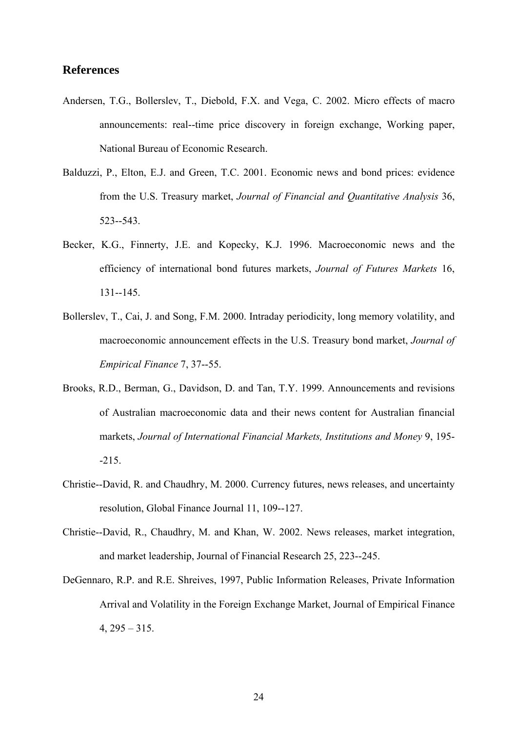# **References**

- Andersen, T.G., Bollerslev, T., Diebold, F.X. and Vega, C. 2002. Micro effects of macro announcements: real--time price discovery in foreign exchange, Working paper, National Bureau of Economic Research.
- Balduzzi, P., Elton, E.J. and Green, T.C. 2001. Economic news and bond prices: evidence from the U.S. Treasury market, *Journal of Financial and Quantitative Analysis* 36, 523--543.
- Becker, K.G., Finnerty, J.E. and Kopecky, K.J. 1996. Macroeconomic news and the efficiency of international bond futures markets, *Journal of Futures Markets* 16, 131--145.
- Bollerslev, T., Cai, J. and Song, F.M. 2000. Intraday periodicity, long memory volatility, and macroeconomic announcement effects in the U.S. Treasury bond market, *Journal of Empirical Finance* 7, 37--55.
- Brooks, R.D., Berman, G., Davidson, D. and Tan, T.Y. 1999. Announcements and revisions of Australian macroeconomic data and their news content for Australian financial markets, *Journal of International Financial Markets, Institutions and Money* 9, 195- -215.
- Christie--David, R. and Chaudhry, M. 2000. Currency futures, news releases, and uncertainty resolution, Global Finance Journal 11, 109--127.
- Christie--David, R., Chaudhry, M. and Khan, W. 2002. News releases, market integration, and market leadership, Journal of Financial Research 25, 223--245.
- DeGennaro, R.P. and R.E. Shreives, 1997, Public Information Releases, Private Information Arrival and Volatility in the Foreign Exchange Market, Journal of Empirical Finance  $4, 295 - 315.$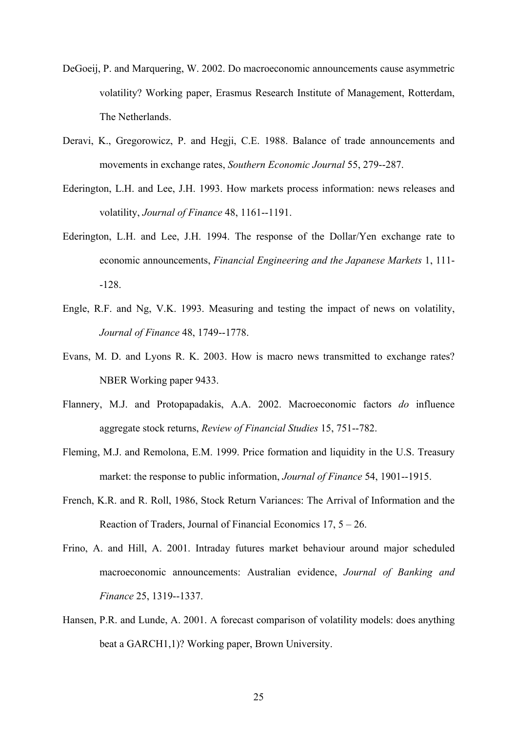- DeGoeij, P. and Marquering, W. 2002. Do macroeconomic announcements cause asymmetric volatility? Working paper, Erasmus Research Institute of Management, Rotterdam, The Netherlands.
- Deravi, K., Gregorowicz, P. and Hegji, C.E. 1988. Balance of trade announcements and movements in exchange rates, *Southern Economic Journal* 55, 279--287.
- Ederington, L.H. and Lee, J.H. 1993. How markets process information: news releases and volatility, *Journal of Finance* 48, 1161--1191.
- Ederington, L.H. and Lee, J.H. 1994. The response of the Dollar/Yen exchange rate to economic announcements, *Financial Engineering and the Japanese Markets* 1, 111- -128.
- Engle, R.F. and Ng, V.K. 1993. Measuring and testing the impact of news on volatility, *Journal of Finance* 48, 1749--1778.
- Evans, M. D. and Lyons R. K. 2003. How is macro news transmitted to exchange rates? NBER Working paper 9433.
- Flannery, M.J. and Protopapadakis, A.A. 2002. Macroeconomic factors *do* influence aggregate stock returns, *Review of Financial Studies* 15, 751--782.
- Fleming, M.J. and Remolona, E.M. 1999. Price formation and liquidity in the U.S. Treasury market: the response to public information, *Journal of Finance* 54, 1901--1915.
- French, K.R. and R. Roll, 1986, Stock Return Variances: The Arrival of Information and the Reaction of Traders, Journal of Financial Economics 17, 5 – 26.
- Frino, A. and Hill, A. 2001. Intraday futures market behaviour around major scheduled macroeconomic announcements: Australian evidence, *Journal of Banking and Finance* 25, 1319--1337.
- Hansen, P.R. and Lunde, A. 2001. A forecast comparison of volatility models: does anything beat a GARCH1,1)? Working paper, Brown University.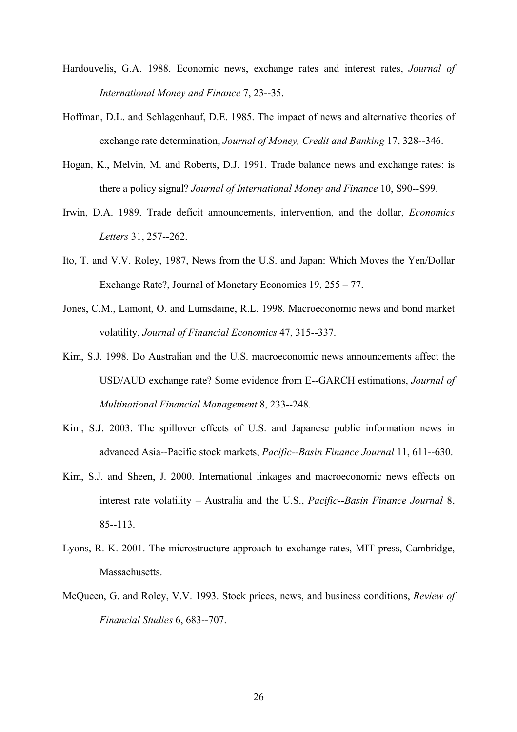- Hardouvelis, G.A. 1988. Economic news, exchange rates and interest rates, *Journal of International Money and Finance* 7, 23--35.
- Hoffman, D.L. and Schlagenhauf, D.E. 1985. The impact of news and alternative theories of exchange rate determination, *Journal of Money, Credit and Banking* 17, 328--346.
- Hogan, K., Melvin, M. and Roberts, D.J. 1991. Trade balance news and exchange rates: is there a policy signal? *Journal of International Money and Finance* 10, S90--S99.
- Irwin, D.A. 1989. Trade deficit announcements, intervention, and the dollar, *Economics Letters* 31, 257--262.
- Ito, T. and V.V. Roley, 1987, News from the U.S. and Japan: Which Moves the Yen/Dollar Exchange Rate?, Journal of Monetary Economics 19, 255 – 77.
- Jones, C.M., Lamont, O. and Lumsdaine, R.L. 1998. Macroeconomic news and bond market volatility, *Journal of Financial Economics* 47, 315--337.
- Kim, S.J. 1998. Do Australian and the U.S. macroeconomic news announcements affect the USD/AUD exchange rate? Some evidence from E--GARCH estimations, *Journal of Multinational Financial Management* 8, 233--248.
- Kim, S.J. 2003. The spillover effects of U.S. and Japanese public information news in advanced Asia--Pacific stock markets, *Pacific--Basin Finance Journal* 11, 611--630.
- Kim, S.J. and Sheen, J. 2000. International linkages and macroeconomic news effects on interest rate volatility – Australia and the U.S., *Pacific--Basin Finance Journal* 8, 85--113.
- Lyons, R. K. 2001. The microstructure approach to exchange rates, MIT press, Cambridge, Massachusetts.
- McQueen, G. and Roley, V.V. 1993. Stock prices, news, and business conditions, *Review of Financial Studies* 6, 683--707.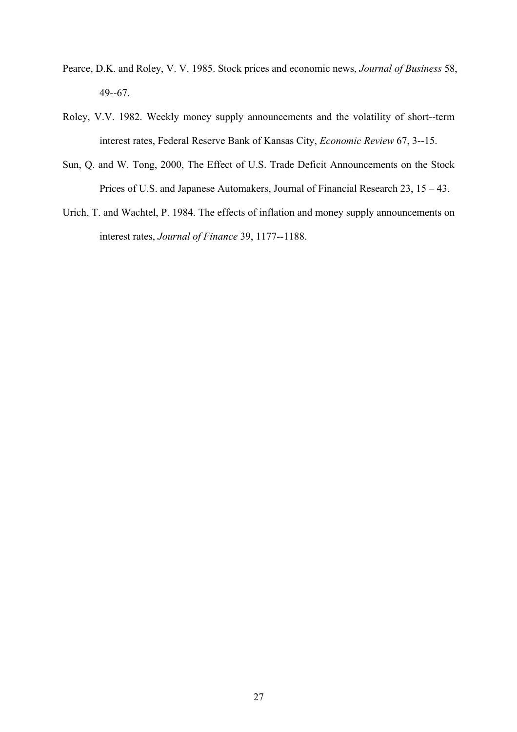- Pearce, D.K. and Roley, V. V. 1985. Stock prices and economic news, *Journal of Business* 58, 49--67.
- Roley, V.V. 1982. Weekly money supply announcements and the volatility of short--term interest rates, Federal Reserve Bank of Kansas City, *Economic Review* 67, 3--15.
- Sun, Q. and W. Tong, 2000, The Effect of U.S. Trade Deficit Announcements on the Stock Prices of U.S. and Japanese Automakers, Journal of Financial Research 23, 15 – 43.
- Urich, T. and Wachtel, P. 1984. The effects of inflation and money supply announcements on interest rates, *Journal of Finance* 39, 1177--1188.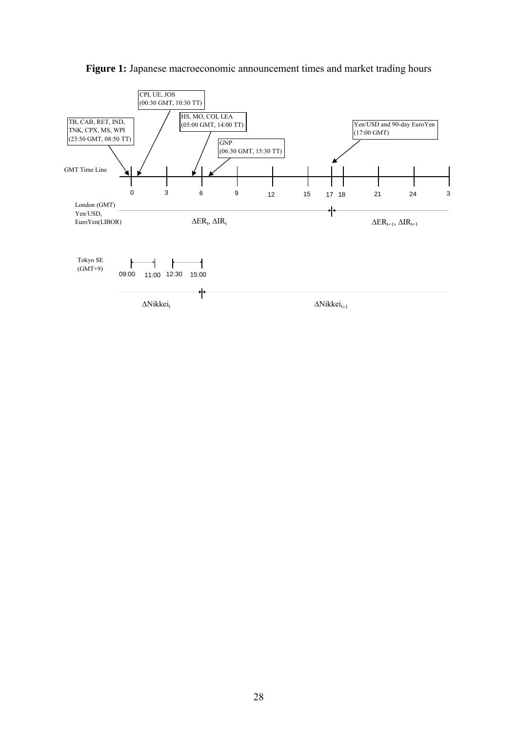

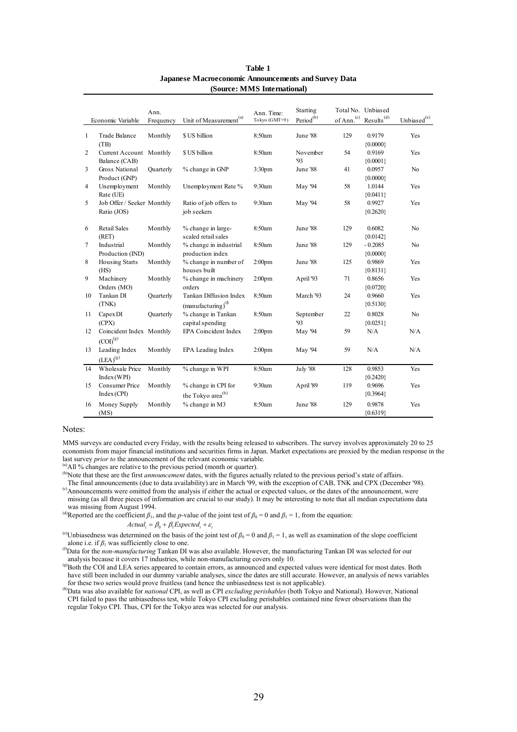|                         |                                                     | Ann.             |                                                            | Ann. Time:         | Starting              |                 | Total No. Unbiased      |                   |
|-------------------------|-----------------------------------------------------|------------------|------------------------------------------------------------|--------------------|-----------------------|-----------------|-------------------------|-------------------|
|                         | Economic Variable                                   | Frequency        | Unit of Measurement <sup>(a)</sup>                         | Tokyo (GMT+9)      | Period <sup>(b)</sup> | $of$ Ann. $(c)$ | Results <sup>(d)</sup>  | Unbiased $^{(e)}$ |
| $\mathbf{1}$            | <b>Trade Balance</b><br>(TB)                        | Monthly          | \$ US billion                                              | 8:50am             | June '88              | 129             | 0.9179<br>${0.0000}$    | Yes               |
| $\overline{c}$          | Current Account Monthly<br>Balance (CAB)            |                  | \$ US billion                                              | 8:50am             | November<br>'93       | 54              | 0.9169<br>${0.0001}$    | Yes               |
| $\overline{\mathbf{3}}$ | <b>Gross National</b><br>Product (GNP)              | <b>Quarterly</b> | % change in GNP                                            | 3:30 <sub>pm</sub> | June '88              | 41              | 0.0957<br>${0.0000}$    | N <sub>o</sub>    |
| 4                       | Unemployment<br>Rate (UE)                           | Monthly          | Unemployment Rate %                                        | 9:30am             | May '94               | 58              | 1.0144<br>${0.0411}$    | Yes               |
| 5                       | Job Offer / Seeker Monthly<br>Ratio (JOS)           |                  | Ratio of job offers to<br>job seekers                      | 9:30am             | May '94               | 58              | 0.9927<br>${0.2620}$    | Yes               |
| 6                       | <b>Retail Sales</b><br>(RET)                        | Monthly          | % change in large-<br>scaled retail sales                  | 8:50am             | June '88              | 129             | 0.6082<br>${0.0142}$    | N <sub>o</sub>    |
| $\tau$                  | Industrial<br>Production (IND)                      | Monthly          | % change in industrial<br>production index                 | 8:50am             | June '88              | 129             | $-0.2085$<br>${0.0000}$ | N <sub>0</sub>    |
| 8                       | <b>Housing Starts</b><br>(HS)                       | Monthly          | % change in number of<br>houses built                      | 2:00 <sub>pm</sub> | June '88              | 125             | 0.9869<br>${0.8131}$    | Yes               |
| 9                       | Machinery<br>Orders (MO)                            | Monthly          | % change in machinery<br>orders                            | 2:00 <sub>pm</sub> | April '93             | 71              | 0.8656<br>${0.0720}$    | Yes               |
| 10                      | Tankan DI<br>(TNK)                                  | Ouarterly        | Tankan Diffusion Index<br>$(manufacturing)$ <sup>(1)</sup> | 8:50am             | March '93             | 24              | 0.9660<br>${0.5130}$    | Yes               |
| 11                      | Capex DI<br>(CPX)                                   | Quarterly        | % change in Tankan<br>capital spending                     | 8:50am             | September<br>93       | 22              | 0.8028<br>${0.0251}$    | N <sub>0</sub>    |
| 12                      | Coincident Index Monthly<br>${\rm (COI)}^{\rm (g)}$ |                  | EPA Coincident Index                                       | 2:00 <sub>pm</sub> | May '94               | 59              | N/A                     | N/A               |
| 13                      | Leading Index<br>$(\text{LEA})^{(g)}$               | Monthly          | EPA Leading Index                                          | 2:00 <sub>pm</sub> | May '94               | 59              | N/A                     | N/A               |
| 14                      | <b>Wholesale Price</b><br>Index(WPI)                | Monthly          | % change in WPI                                            | 8:50am             | July '88              | 128             | 0.9853<br>${0.2420}$    | Yes               |
| 15                      | Consumer Price<br>Index(CPI)                        | Monthly          | % change in CPI for<br>the Tokyo ${\rm area}^{(\rm h)}$    | 9:30am             | April '89             | 119             | 0.9696<br>${0.3964}$    | Yes               |
| 16                      | Money Supply<br>(MS)                                | Monthly          | % change in M3                                             | 8:50am             | June '88              | 129             | 0.9878<br>${0.6319}$    | Yes               |

#### **Table 1 Japanese Macroeconomic Announcements and Survey Data (Source: MMS International)**

#### Notes:

MMS surveys are conducted every Friday, with the results being released to subscribers. The survey involves approximately 20 to 25 economists from major financial institutions and securities firms in Japan. Market expectations are proxied by the median response in the last survey *prior to* the announcement of the relevant economic variable.

(a) All % changes are relative to the previous period (month or quarter).

(b)Note that these are the first *announcement* dates, with the figures actually related to the previous period's state of affairs.

 The final announcements (due to data availability) are in March '99, with the exception of CAB, TNK and CPX (December '98). (c)Announcements were omitted from the analysis if either the actual or expected values, or the dates of the announcement, were missing (as all three pieces of information are crucial to our study). It may be interesting to note that all median expectations data was missing from August 1994.

(a)Reported are the coefficient  $\beta_1$ , and the *p*-value of the joint test of  $\beta_0 = 0$  and  $\beta_1 = 1$ , from the equation:

#### $Actual = \beta_0 + \beta_1 Expected + \varepsilon_1$

<sup>(e)</sup>Unbiasedness was determined on the basis of the joint test of  $\beta_0 = 0$  and  $\beta_1 = 1$ , as well as examination of the slope coefficient alone i.e. if  $\beta_1$  was sufficiently close to one.

(f)Data for the *non-manufacturing* Tankan DI was also available. However, the manufacturing Tankan DI was selected for our analysis because it covers 17 industries, while non-manufacturing covers only 10.

(g)Both the COI and LEA series appeared to contain errors, as announced and expected values were identical for most dates. Both have still been included in our dummy variable analyses, since the dates are still accurate. However, an analysis of news variables for these two series would prove fruitless (and hence the unbiasedness test is not applicable).

(h)Data was also available for *national* CPI, as well as CPI *excluding perishables* (both Tokyo and National). However, National CPI failed to pass the unbiasedness test, while Tokyo CPI excluding perishables contained nine fewer observations than the regular Tokyo CPI. Thus, CPI for the Tokyo area was selected for our analysis.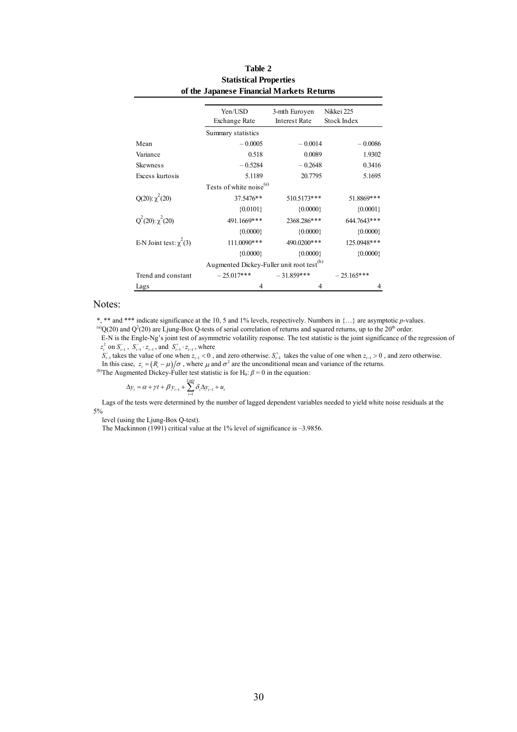| of the Japanese Financial Markets Returns |                                                       |                                       |                                  |  |  |  |  |
|-------------------------------------------|-------------------------------------------------------|---------------------------------------|----------------------------------|--|--|--|--|
|                                           | Yen/USD<br><b>Exchange Rate</b>                       | 3-mth Euroyen<br><b>Interest Rate</b> | Nikkei 225<br><b>Stock Index</b> |  |  |  |  |
|                                           | Summary statistics                                    |                                       |                                  |  |  |  |  |
| Mean                                      | $-0.0005$                                             | $-0.0014$                             | $-0.0086$                        |  |  |  |  |
| Variance                                  | 0.518                                                 | 0.0089                                | 1.9302                           |  |  |  |  |
| <b>Skewness</b>                           | $-0.5284$                                             | $-0.2648$                             | 0.3416                           |  |  |  |  |
| Excess kurtosis                           | 5.1189                                                | 20.7795                               | 5.1695                           |  |  |  |  |
|                                           | Tests of white noise <sup>(a)</sup>                   |                                       |                                  |  |  |  |  |
| $Q(20): \chi^2(20)$                       | 37.5476**                                             | 510.5173***                           | 51.8869***                       |  |  |  |  |
|                                           | ${0.0101}$                                            | ${0.0000}$                            | ${0.0001}$                       |  |  |  |  |
| $Q^2(20)$ : $\chi^2(20)$                  | 491.1669***                                           | 2368.286***                           | 644.7643***                      |  |  |  |  |
|                                           | ${0.0000}$                                            | ${0.0000}$                            | ${0.0000}$                       |  |  |  |  |
| E-N Joint test: $\chi^2(3)$               | 111.0090***                                           | 490.0200***                           | 125.0948***                      |  |  |  |  |
|                                           | ${0.0000}$                                            | ${0.0000}$                            | ${0.0000}$                       |  |  |  |  |
|                                           | Augmented Dickey-Fuller unit root test <sup>(b)</sup> |                                       |                                  |  |  |  |  |
| Trend and constant                        | $-25.017***$                                          | $-31.859***$                          | $-25.165***$                     |  |  |  |  |
| Lags                                      | 4                                                     | 4                                     | 4                                |  |  |  |  |

#### **Table 2 Statistical Properties of the Japanese Financial Markets Returns**

#### Notes:

\*, \*\* and \*\*\* indicate significance at the 10, 5 and 1% levels, respectively. Numbers in {…} are asymptotic *p*-values.

<sup>(a)</sup>Q(20) and Q<sup>2</sup>(20) are Ljung-Box Q-tests of serial correlation of returns and squared returns, up to the 20<sup>th</sup> order.

 E-N is the Engle-Ng's joint test of asymmetric volatility response. The test statistic is the joint significance of the regression of  $z_i^2$  on  $S_{i-1}^-$ ,  $S_{i-1}^-$  ·  $z_{i-1}$ , and  $S_{i-1}^+$  ·  $z_{i-1}$ , where

 $S_{t-1}^-$  takes the value of one when  $z_{t-1} < 0$ , and zero otherwise.  $S_{t-1}^+$  takes the value of one when  $z_{t-1} > 0$ , and zero otherwise. In this case,  $z_i = (R_i - \mu)/\sigma$ , where  $\mu$  and  $\sigma^2$  are the unconditional mean and variance of the returns.

<sup>(b)</sup>The Augmented Dickey-Fuller test statistic is for H<sub>0</sub>:  $\beta = 0$  in the equation:

$$
\Delta y_t = \alpha + \gamma t + \beta y_{t-1} + \sum_{i=1}^{Lags} \delta_i \Delta y_{t-1} + u_t
$$

 Lags of the tests were determined by the number of lagged dependent variables needed to yield white noise residuals at the 5%

level (using the Ljung-Box Q-test).

The Mackinnon (1991) critical value at the 1% level of significance is -3.9856.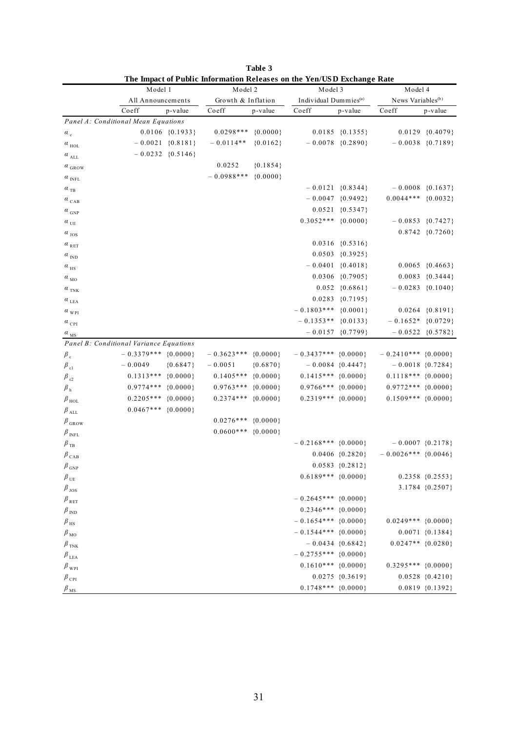|                           | The impact of Public information Refeases on the Ten/CSD Exchange Rate<br>Model 1 | Model 2            |              | Model 3                           |                      | Model 4                       |                      |
|---------------------------|-----------------------------------------------------------------------------------|--------------------|--------------|-----------------------------------|----------------------|-------------------------------|----------------------|
|                           | All Announcements                                                                 | Growth & Inflation |              | Individual Dummies <sup>(a)</sup> |                      | News Variables <sup>(b)</sup> |                      |
|                           | Coeff<br>p-value                                                                  | Coeff              | p-value      | Coeff                             | p-value              | Coeff                         | p-value              |
|                           | Panel A: Conditional Mean Equations                                               |                    |              |                                   |                      |                               |                      |
| $\alpha_c$                | $0.0106 \{0.1933\}$                                                               | $0.0298***$        | ${0.0000}$   |                                   | $0.0185 \{0.1355\}$  |                               | $0.0129 \{0.4079\}$  |
| $\alpha$ $_{\rm HOL}$     | $-0.0021 \{0.8181\}$                                                              | $-0.0114**$        | ${0.0162}$   |                                   | $-0.0078\{0.2890\}$  |                               | $-0.0038 \{0.7189\}$ |
| $\alpha$ $_{\rm ALL}$     | $-0.0232 \{0.5146\}$                                                              |                    |              |                                   |                      |                               |                      |
| $\alpha$ $_{\rm GROW}$    |                                                                                   | 0.0252             | ${0.1854}$   |                                   |                      |                               |                      |
| $\alpha$ $_{\rm{INFL}}$   |                                                                                   | $-0.0988***$       | ${0.0000}$   |                                   |                      |                               |                      |
| $a_{TB}$                  |                                                                                   |                    |              |                                   | $-0.0121 \{0.8344\}$ |                               | $-0.0008 \{0.1637\}$ |
| $\alpha$ <sub>CAB</sub>   |                                                                                   |                    |              |                                   | $-0.0047 \{0.9492\}$ | $0.0044***$ {0.0032}          |                      |
| $\alpha$ $_{\rm GNP}$     |                                                                                   |                    |              |                                   | $0.0521 \{0.5347\}$  |                               |                      |
| $\alpha_{\rm \,UE}$       |                                                                                   |                    |              | $0.3052***$ {0.0000}              |                      |                               | $-0.0853 \{0.7427\}$ |
| $\alpha_{\mathrm{JOS}}$   |                                                                                   |                    |              |                                   |                      |                               | $0.8742 \{0.7260\}$  |
| $\alpha$ <sub>RET</sub>   |                                                                                   |                    |              |                                   | $0.0316 \{0.5316\}$  |                               |                      |
| $\alpha$ $_{\rm IND}$     |                                                                                   |                    |              |                                   | $0.0503 \{0.3925\}$  |                               |                      |
| $\alpha$ <sub>HS</sub>    |                                                                                   |                    |              |                                   | $-0.0401 \{0.4018\}$ |                               | $0.0065 \{0.4663\}$  |
| $\alpha$ <sub>MO</sub>    |                                                                                   |                    |              |                                   | $0.0306 \{0.7905\}$  |                               | $0.0083 \{0.3444\}$  |
| $\alpha$ <sub>TNK</sub>   |                                                                                   |                    |              |                                   | $0.052 \{0.6861\}$   |                               | $-0.0283 \{0.1040\}$ |
| $\alpha$ $_{\rm LEA}$     |                                                                                   |                    |              |                                   | $0.0283 \{0.7195\}$  |                               |                      |
| $\alpha_{\rm~WPI}$        |                                                                                   |                    |              | $-0.1803***$                      | ${0.0001}$           |                               | $0.0264 \{0.8191\}$  |
| $\alpha_{\rm~CPI}$        |                                                                                   |                    |              | $-0.1353**$                       | ${0.0133}$           | $-0.1652*$ {0.0729}           |                      |
| $\alpha$ $_{\rm MS}$      |                                                                                   |                    |              |                                   | $-0.0157 \{0.7799\}$ |                               | $-0.0522 \{0.5782\}$ |
|                           | Panel B: Conditional Variance Equations                                           |                    |              |                                   |                      |                               |                      |
| $\beta_c$                 | $-0.3379***$ {0.0000}                                                             | $-0.3623***$       | ${0.0000}$   | $-0.3437***$ {0.0000}             |                      | $-0.2410***$ {0.0000}         |                      |
| $\beta_{\epsilon}$        | $-0.0049$<br>${0.6847}$                                                           | $-0.0051$          | ${0.6870}$   |                                   | $-0.0084\{0.4447\}$  | $-0.0018 \{0.7284\}$          |                      |
| $\beta_{\epsilon 2}$      | ${0.0000}$<br>$0.1313***$                                                         | $0.1405***$        | ${0.0000}$   | $0.1415***$ {0.0000}              |                      | $0.1118***$ {0.0000}          |                      |
| $\beta$ $_{\rm h}$        | ${0.0000}$<br>$0.9774***$                                                         | $0.9763***$        | ${0.0000}$   | $0.9766***$ {0.0000}              |                      | $0.9772***$ {0.0000}          |                      |
| $\beta$ <sub>HOL</sub>    | ${0.0000}$<br>$0.2205***$                                                         | $0.2374***$        | ${0.0000}$   | $0.2319***$ {0.0000}              |                      | $0.1509***$ {0.0000}          |                      |
| $\beta$ $_{\rm ALL}$      | $0.0467***$<br>${0.0000}$                                                         |                    |              |                                   |                      |                               |                      |
| $\beta_{\,\mathrm{GROW}}$ |                                                                                   | $0.0276***$        | $\{0.0000\}$ |                                   |                      |                               |                      |
| $\beta_{\text{ INFL}}$    |                                                                                   | $0.0600***$        | ${0.0000}$   |                                   |                      |                               |                      |
| $\beta_{\text{TB}}$       |                                                                                   |                    |              | $-0.2168***$ {0.0000}             |                      |                               | $-0.0007 \{0.2178\}$ |
| $\beta_{\text{ CAB}}$     |                                                                                   |                    |              |                                   | $0.0406 \{0.2820\}$  | $-0.0026***$ {0.0046}         |                      |
| $\beta_{\text{ GNP}}$     |                                                                                   |                    |              |                                   | $0.0583 \{0.2812\}$  |                               |                      |
| $\beta$ $_{\text{UE}}$    |                                                                                   |                    |              | $0.6189***$ {0.0000}              |                      |                               | $0.2358 \{0.2553\}$  |
| $\beta_{\,\rm{JOS}}$      |                                                                                   |                    |              |                                   |                      |                               | 3.1784 {0.2507}      |
| $\beta_{RET}$             |                                                                                   |                    |              | $-0.2645***$ {0.0000}             |                      |                               |                      |
| $\beta_{\text{ IND}}$     |                                                                                   |                    |              | $0.2346***$ {0.0000}              |                      |                               |                      |
| $\beta$ <sub>HS</sub>     |                                                                                   |                    |              | $-0.1654***$ {0.0000}             |                      | $0.0249***$ {0.0000}          |                      |
| $\beta_{\text{MO}}$       |                                                                                   |                    |              | $-0.1544***$ {0.0000}             |                      |                               | $0.0071 \{0.1384\}$  |
| $\beta_{\rm TNK}$         |                                                                                   |                    |              |                                   | $-0.0434 \{0.6842\}$ | $0.0247**$ {0.0280}           |                      |
| $\beta$ $_{\rm LEA}$      |                                                                                   |                    |              | $-0.2755***$ {0.0000}             |                      |                               |                      |
| $\beta_{\text{wpl}}$      |                                                                                   |                    |              | $0.1610***$ {0.0000}              |                      | $0.3295***$ $\{0.0000\}$      |                      |
| $\beta$ $_{\rm{CPI}}$     |                                                                                   |                    |              |                                   | $0.0275 \{0.3619\}$  |                               | $0.0528 \{0.4210\}$  |
| $\beta_{\rm \, MS}$       |                                                                                   |                    |              | $0.1748***$ {0.0000}              |                      |                               | $0.0819 \{0.1392\}$  |

| Table 3                                                                |  |
|------------------------------------------------------------------------|--|
| The Impact of Public Information Releases on the Yen/USD Exchange Rate |  |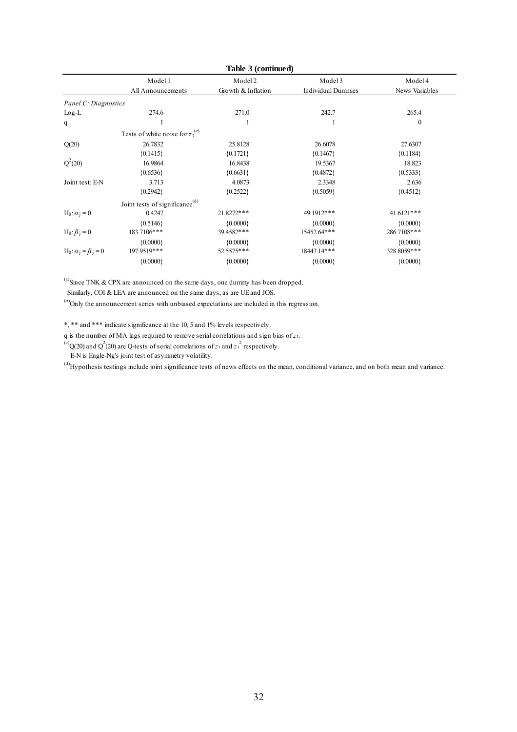| Table 3 (continued)                       |                                            |                               |                                      |                           |  |  |  |
|-------------------------------------------|--------------------------------------------|-------------------------------|--------------------------------------|---------------------------|--|--|--|
|                                           | Model 1<br>All Announcements               | Model 2<br>Growth & Inflation | Model 3<br><b>Individual Dummies</b> | Model 4<br>News Variables |  |  |  |
| Panel C: Diagnostics                      |                                            |                               |                                      |                           |  |  |  |
|                                           |                                            |                               |                                      |                           |  |  |  |
| $Log-L$                                   | $-274.6$                                   | $-271.0$                      | $-242.7$                             | $-265.4$                  |  |  |  |
| q                                         |                                            |                               |                                      | $\mathbf{0}$              |  |  |  |
|                                           | Tests of white noise for $z_t^{(c)}$       |                               |                                      |                           |  |  |  |
| Q(20)                                     | 26.7832                                    | 25.8128                       | 26.6078                              | 27.6307                   |  |  |  |
|                                           | ${0.1415}$                                 | ${0.1721}$                    | ${0.1467}$                           | ${0.1184}$                |  |  |  |
| $Q^2(20)$                                 | 16.9864                                    | 16.8438                       | 19.5367                              | 18.823                    |  |  |  |
|                                           | ${0.6536}$                                 | ${0.6631}$                    | ${0.4872}$                           | ${0.5333}$                |  |  |  |
| Joint test: E-N                           | 3.713                                      | 4.0873                        | 2.3348                               | 2.636                     |  |  |  |
|                                           | ${0.2942}$                                 | ${0.2522}$                    | ${0.5059}$                           | ${0.4512}$                |  |  |  |
|                                           | Joint tests of significance <sup>(d)</sup> |                               |                                      |                           |  |  |  |
| H <sub>0</sub> : $\alpha_i = 0$           | 0.4247                                     | 21.8272***                    | 49.1912***                           | 41.6121***                |  |  |  |
|                                           | ${0.5146}$                                 | ${0.0000}$                    | ${0.0000}$                           | ${0.0000}$                |  |  |  |
| H <sub>0</sub> : $\beta_i = 0$            | 183.7106***                                | 39.4582***                    | 15452.64***                          | 286.7108***               |  |  |  |
|                                           | ${0.0000}$                                 | ${0.0000}$                    | ${0.0000}$                           | ${0.0000}$                |  |  |  |
| H <sub>0</sub> : $\alpha_i = \beta_i = 0$ | 197.9519***                                | 52.5575***                    | 18447.14***                          | 328.8059***               |  |  |  |
|                                           | ${0.0000}$                                 | ${0.0000}$                    | ${0.0000}$                           | ${0.0000}$                |  |  |  |
|                                           |                                            |                               |                                      |                           |  |  |  |

 $^{(a)}$ Since TNK & CPX are announced on the same days, one dummy has been dropped.

Similarly, COI & LEA are announced on the same days, as are UE and JOS.

(b)Only the announcement series with unbiased expectations are included in this regression.

\*, \*\* and \*\*\* indicate significance at the 10, 5 and 1% levels respectively.

q is the number of MA lags required to remove serial correlations and sign bias of *z*t.

<sup>(c)</sup>Q(20) and Q<sup>2</sup>(20) are Q-tests of serial correlations of  $z_t$  and  $z_t$ <sup>2</sup> respectively.

E-N is Engle-Ng's joint test of asymmetry volatility.

(d)Hypothesis testings include joint significance tests of news effects on the mean, conditional variance, and on both mean and variance.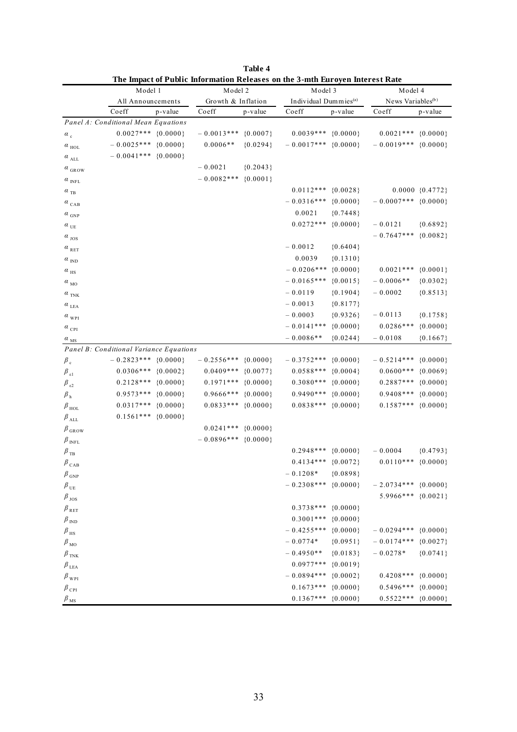|                          | Model 1                                 |              | Model 2            |            | The impact of Public information Releases on the 3-mth Euroyen interest Rate<br>Model 3 |            | Model 4                       |                     |
|--------------------------|-----------------------------------------|--------------|--------------------|------------|-----------------------------------------------------------------------------------------|------------|-------------------------------|---------------------|
|                          | All Announcements                       |              | Growth & Inflation |            | Individual Dummies <sup>(a)</sup>                                                       |            | News Variables <sup>(b)</sup> |                     |
|                          | Coeff                                   | p-value      | Coeff              | p-value    | Coeff                                                                                   | p-value    | Coeff                         | p-value             |
|                          | Panel A: Conditional Mean Equations     |              |                    |            |                                                                                         |            |                               |                     |
| $\alpha_c$               | $0.0027***$ {0.0000}                    |              | $-0.0013***$       | ${0.0007}$ | $0.0039***$                                                                             | ${0.0000}$ | $0.0021***$                   | ${0.0000}$          |
| $\alpha$ <sub>HOL</sub>  | $-0.0025***$                            | ${0.0000}$   | $0.0006**$         | ${0.0294}$ | $-0.0017***$                                                                            | ${0.0000}$ | $-0.0019***$                  | ${0.0000}$          |
| $\alpha$ <sub>ALL</sub>  | $-0.0041***$                            | ${0.0000}$   |                    |            |                                                                                         |            |                               |                     |
| $\alpha$ <sub>GROW</sub> |                                         |              | $-0.0021$          | ${0.2043}$ |                                                                                         |            |                               |                     |
| $\alpha$ $_{\rm INFL}$   |                                         |              | $-0.0082***$       | ${0.0001}$ |                                                                                         |            |                               |                     |
| $\alpha$ $_{\rm TB}$     |                                         |              |                    |            | $0.0112***$                                                                             | ${0.0028}$ |                               | $0.0000 \{0.4772\}$ |
| $\alpha$ $_{\rm CAB}$    |                                         |              |                    |            | $-0.0316***$                                                                            | ${0.0000}$ | $-0.0007***$                  | ${0.0000}$          |
| $\alpha$ <sub>GNP</sub>  |                                         |              |                    |            | 0.0021                                                                                  | ${0.7448}$ |                               |                     |
| $\alpha$ <sub>UE</sub>   |                                         |              |                    |            | $0.0272***$                                                                             | ${0.0000}$ | $-0.0121$                     | ${0.6892}$          |
| $\alpha$ <sub>JOS</sub>  |                                         |              |                    |            |                                                                                         |            | $-0.7647***$                  | ${0.0082}$          |
| $\alpha$ $_{\rm{RET}}$   |                                         |              |                    |            | $-0.0012$                                                                               | ${0.6404}$ |                               |                     |
| $\alpha$ $_{\rm IND}$    |                                         |              |                    |            | 0.0039                                                                                  | ${0.1310}$ |                               |                     |
| $\alpha$ $_{\rm HS}$     |                                         |              |                    |            | $-0.0206***$                                                                            | ${0.0000}$ | $0.0021***$                   | ${0.0001}$          |
| $\alpha$ <sub>MO</sub>   |                                         |              |                    |            | $-0.0165***$                                                                            | ${0.0015}$ | $-0.0006**$                   | ${0.0302}$          |
| $\alpha$ $_{\rm TNK}$    |                                         |              |                    |            | $-0.0119$                                                                               | ${0.1904}$ | $-0.0002$                     | ${0.8513}$          |
| $\alpha$ $_{\rm LEA}$    |                                         |              |                    |            | $-0.0013$                                                                               | ${0.8177}$ |                               |                     |
| $\alpha_{\rm~WPI}$       |                                         |              |                    |            | $-0.0003$                                                                               | ${0.9326}$ | $-0.0113$                     | ${0.1758}$          |
| $\alpha_{\rm\,CPI}$      |                                         |              |                    |            | $-0.0141***$                                                                            | ${0.0000}$ | $0.0286***$                   | ${0.0000}$          |
| $\alpha$ <sub>MS</sub>   |                                         |              |                    |            | $-0.0086**$                                                                             | ${0.0244}$ | $-0.0108$                     | ${0.1667}$          |
|                          | Panel B: Conditional Variance Equations |              |                    |            |                                                                                         |            |                               |                     |
| $\beta_c$                | $-0.2823***$ {0.0000}                   |              | $-0.2556***$       | ${0.0000}$ | $-0.3752***$                                                                            | ${0.0000}$ | $-0.5214***$                  | ${0.0000}$          |
| $\beta_{\epsilon 1}$     | $0.0306***$                             | ${0.0002}$   | $0.0409***$        | ${0.0077}$ | $0.0588***$                                                                             | ${0.0004}$ | $0.0600***$                   | ${0.0069}$          |
| $\beta_{\epsilon 2}$     | $0.2128***$                             | ${0.0000}$   | $0.1971***$        | ${0.0000}$ | $0.3080***$                                                                             | ${0.0000}$ | $0.2887***$                   | ${0.0000}$          |
| $\beta$ <sub>h</sub>     | $0.9573***$                             | ${0.0000}$   | 0.9666***          | ${0.0000}$ | $0.9490***$                                                                             | ${0.0000}$ | $0.9408***$                   | ${0.0000}$          |
| $\beta$ $_{\rm HOL}$     | $0.0317***$                             | ${0.0000}$   | $0.0833***$        | ${0.0000}$ | $0.0838***$                                                                             | ${0.0000}$ | $0.1587***$                   | ${0.0000}$          |
| $\beta$ all              | $0.1561***$                             | $\{0.0000\}$ |                    |            |                                                                                         |            |                               |                     |
| $\beta_{\rm\,GROW}$      |                                         |              | $0.0241***$        | ${0.0000}$ |                                                                                         |            |                               |                     |
| $\beta$ $_{\rm{INFL}}$   |                                         |              | $-0.0896***$       | ${0.0000}$ |                                                                                         |            |                               |                     |
| $\beta_{\mathrm{TB}}$    |                                         |              |                    |            | $0.2948***$                                                                             | ${0.0000}$ | $-0.0004$                     | ${0.4793}$          |
| $\beta_{\rm\, CAB}$      |                                         |              |                    |            | $0.4134***$                                                                             | ${0.0072}$ | $0.0110***$                   | ${0.0000}$          |
| $\beta$ $_{\rm GNP}$     |                                         |              |                    |            | $-0.1208*$                                                                              | ${0.0898}$ |                               |                     |
| $\beta_{UE}$             |                                         |              |                    |            | $-0.2308***$                                                                            | ${0.0000}$ | $-2.0734***$ {0.0000}         |                     |
| $\beta_{\text{JOS}}$     |                                         |              |                    |            |                                                                                         |            | 5.9966*** {0.0021}            |                     |
| $\beta$ $_{\rm{RET}}$    |                                         |              |                    |            | $0.3738***$                                                                             | ${0.0000}$ |                               |                     |
| $\beta$ $_{\rm IND}$     |                                         |              |                    |            | $0.3001***$                                                                             | ${0.0000}$ |                               |                     |
| $\beta_{\,\rm HS}$       |                                         |              |                    |            | $-0.4255***$                                                                            | ${0.0000}$ | $-0.0294***$                  | ${0.0000}$          |
| $\beta$ $_{\rm MO}$      |                                         |              |                    |            | $-0.0774*$                                                                              | ${0.0951}$ | $-0.0174***$                  | ${0.0027}$          |
| $\beta$ $_{\rm TNK}$     |                                         |              |                    |            | $-0.4950**$                                                                             | ${0.0183}$ | $-0.0278*$                    | ${0.0741}$          |
| $\beta$ $_{\rm LEA}$     |                                         |              |                    |            | $0.0977***$                                                                             | ${0.0019}$ |                               |                     |
| $\beta_{\rm~WPI}$        |                                         |              |                    |            | $-0.0894***$                                                                            | ${0.0002}$ | $0.4208***$                   | ${0.0000}$          |
| $\beta_{\rm\,CPI}$       |                                         |              |                    |            | $0.1673***$                                                                             | ${0.0000}$ | $0.5496***$                   | ${0.0000}$          |
| $\beta$ $_{\rm MS}$      |                                         |              |                    |            | $0.1367***$                                                                             | ${0.0000}$ | $0.5522***$                   | ${0.0000}$          |

| Table 4                                                                      |
|------------------------------------------------------------------------------|
| The Impact of Public Information Releases on the 3-mth Euroven Interest Rate |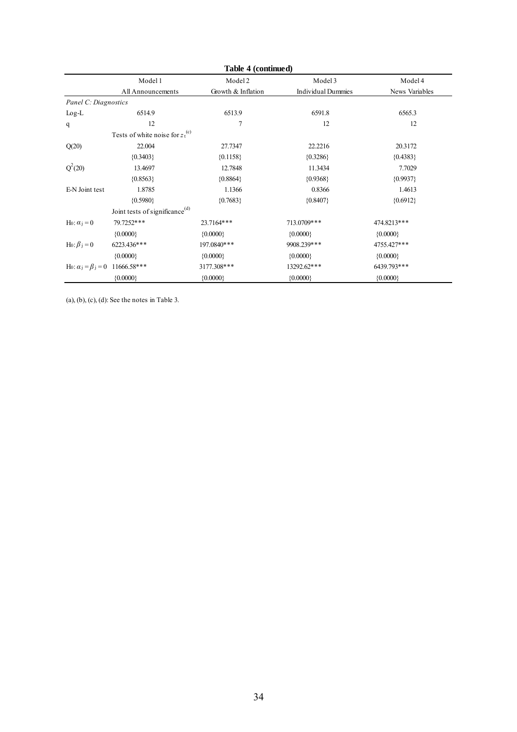| Table 4 (continued)                                   |                                            |                    |                           |                |  |  |  |
|-------------------------------------------------------|--------------------------------------------|--------------------|---------------------------|----------------|--|--|--|
|                                                       | Model 1                                    | Model 2            | Model 3                   | Model 4        |  |  |  |
|                                                       | All Announcements                          | Growth & Inflation | <b>Individual Dummies</b> | News Variables |  |  |  |
| Panel C: Diagnostics                                  |                                            |                    |                           |                |  |  |  |
| $Log-L$                                               | 6514.9                                     | 6513.9             | 6591.8                    | 6565.3         |  |  |  |
| q                                                     | 12                                         | 7                  | 12                        | 12             |  |  |  |
|                                                       | Tests of white noise for $z_t^{(c)}$       |                    |                           |                |  |  |  |
| Q(20)                                                 | 22.004                                     | 27.7347            | 22.2216                   | 20.3172        |  |  |  |
|                                                       | ${0.3403}$                                 | ${0.1158}$         | ${0.3286}$                | ${0.4383}$     |  |  |  |
| $Q^2(20)$                                             | 13.4697                                    | 12.7848            | 11.3434                   | 7.7029         |  |  |  |
|                                                       | ${0.8563}$                                 | ${0.8864}$         | ${0.9368}$                | ${0.9937}$     |  |  |  |
| E-N Joint test                                        | 1.8785                                     | 1.1366             | 0.8366                    | 1.4613         |  |  |  |
|                                                       | ${0.5980}$                                 | ${0.7683}$         | ${0.8407}$                | ${0.6912}$     |  |  |  |
|                                                       | Joint tests of significance <sup>(d)</sup> |                    |                           |                |  |  |  |
| H <sub>0</sub> : $\alpha_i = 0$                       | 79.7252***                                 | 23.7164***         | 713.0709***               | 474.8213***    |  |  |  |
|                                                       | ${0.0000}$                                 | ${0.0000}$         | ${0.0000}$                | ${0.0000}$     |  |  |  |
| H <sub>0</sub> : $\beta$ <sub>j</sub> = 0             | 6223.436***                                | 197.0840***        | 9908.239***               | 4755.427***    |  |  |  |
|                                                       | ${0.0000}$                                 | ${0.0000}$         | ${0.0000}$                | ${0.0000}$     |  |  |  |
| H <sub>0</sub> : $\alpha_1 = \beta_1 = 0$ 11666.58*** |                                            | 3177.308***        | 13292.62***               | 6439.793***    |  |  |  |
|                                                       | ${0.0000}$                                 | ${0.0000}$         | ${0.0000}$                | ${0.0000}$     |  |  |  |

(a), (b), (c), (d): See the notes in Table 3.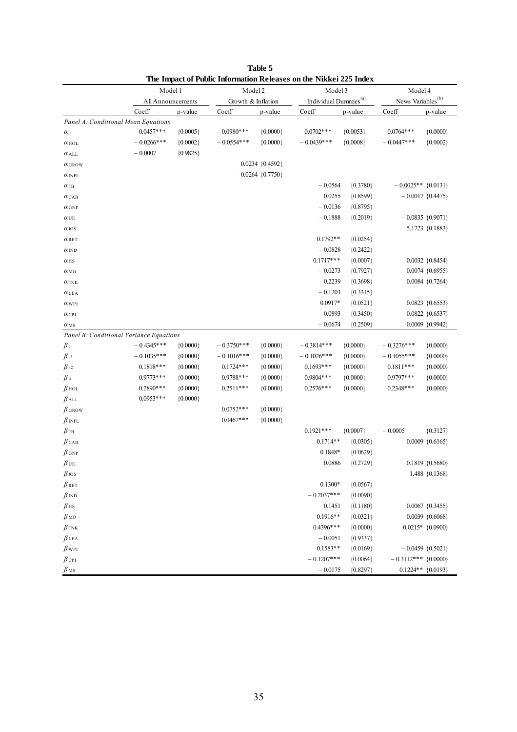|                                         | THE Impact of I gone Implination iceleases on the Furner 225 mack<br>Model 1 |            | Model 2            |                      | Model 3                           |              | Model 4                       |                      |
|-----------------------------------------|------------------------------------------------------------------------------|------------|--------------------|----------------------|-----------------------------------|--------------|-------------------------------|----------------------|
|                                         | All Announcements                                                            |            | Growth & Inflation |                      | Individual Dummies <sup>(a)</sup> |              | News Variables <sup>(b)</sup> |                      |
|                                         | Coeff                                                                        | p-value    | Coeff              | p-value              | Coeff                             | p-value      | Coeff                         | p-value              |
| Panel A: Conditional Mean Equations     |                                                                              |            |                    |                      |                                   |              |                               |                      |
| $\alpha$ c                              | $0.0457***$                                                                  | ${0.0005}$ | $0.0980***$        | ${0.0000}$           | $0.0702$ ***                      | ${0.0053}$   | $0.0764***$                   | ${0.0000}$           |
| $\alpha$ HOL                            | $-0.0266$ ***                                                                | ${0.0002}$ | $-0.0554***$       | ${0.0000}$           | $-0.0439***$                      | ${0.0008}$   | $-0.0447***$                  | ${0.0002}$           |
| $\alpha$ ALL                            | $-0.0007$                                                                    | ${0.9825}$ |                    |                      |                                   |              |                               |                      |
| $\alpha$ GROW                           |                                                                              |            |                    | $0.0234 \{0.4592\}$  |                                   |              |                               |                      |
| $\alpha$ INFL                           |                                                                              |            |                    | $-0.0264 \{0.7750\}$ |                                   |              |                               |                      |
| $\alpha$ tb                             |                                                                              |            |                    |                      | $-0.0564$                         | ${0.3780}$   | $-0.0025**$ {0.0131}          |                      |
| $\alpha$ CAB                            |                                                                              |            |                    |                      | 0.0255                            | ${0.8599}$   |                               | $-0.0017 \{0.4475\}$ |
| $\alpha$ GNP                            |                                                                              |            |                    |                      | $-0.0136$                         | ${0.8795}$   |                               |                      |
| $\alpha$ ue                             |                                                                              |            |                    |                      | $-0.1888$                         | ${0.2019}$   |                               | $-0.0835 \{0.9071\}$ |
| $\alpha$ jos                            |                                                                              |            |                    |                      |                                   |              |                               | 5.1723 {0.1883}      |
| $\alpha$ RET                            |                                                                              |            |                    |                      | $0.1792**$                        | ${0.0254}$   |                               |                      |
| $\alpha_{\rm IND}$                      |                                                                              |            |                    |                      | $-0.0828$                         | ${0.2422}$   |                               |                      |
| $\alpha$ HS                             |                                                                              |            |                    |                      | $0.1717***$                       | ${0.0007}$   |                               | $0.0032 \{0.8454\}$  |
| $\alpha$ <sub>MO</sub>                  |                                                                              |            |                    |                      | $-0.0273$                         | ${0.7927}$   |                               | $0.0074 \{0.6955\}$  |
| $\alpha$ TNK                            |                                                                              |            |                    |                      | 0.2239                            | ${0.3698}$   |                               | $0.0084 \{0.7264\}$  |
| $\alpha$ LEA                            |                                                                              |            |                    |                      | $-0.1203$                         | ${0.3315}$   |                               |                      |
| $\alpha$ WPI                            |                                                                              |            |                    |                      | $0.0917*$                         | ${0.0521}$   |                               | $0.0823 \{0.6553\}$  |
| $\alpha$ CPI                            |                                                                              |            |                    |                      | $-0.0893$                         | ${0.3450}$   |                               | $0.0822 \{0.6537\}$  |
| $\alpha$ <sub>MS</sub>                  |                                                                              |            |                    |                      | $-0.0674$                         | ${0.2509}$   |                               | 0.0009 {0.9942}      |
| Panel B: Conditional Variance Equations |                                                                              |            |                    |                      |                                   |              |                               |                      |
| $\beta$ c                               | $-0.4345***$                                                                 | ${0.0000}$ | $-0.3750***$       | ${0.0000}$           | $-0.3814***$                      | $\{0.0000\}$ | $-0.3276***$                  | $\{0.0000\}$         |
| $\beta_{\varepsilon 1}$                 | $-0.1035***$                                                                 | ${0.0000}$ | $-0.1016***$       | ${0.0000}$           | $-0.1026***$                      | $\{0.0000\}$ | $-0.1055***$                  | ${0.0000}$           |
| $β$ ε2                                  | $0.1818***$                                                                  | ${0.0000}$ | $0.1724***$        | ${0.0000}$           | $0.1693***$                       | ${0.0000}$   | $0.1811***$                   | ${0.0000}$           |
| $\beta$ h                               | $0.9773***$                                                                  | ${0.0000}$ | $0.9788***$        | ${0.0000}$           | $0.9804***$                       | ${0.0000}$   | $0.9797***$                   | ${0.0000}$           |
| $\beta$ HOL                             | $0.2890***$                                                                  | ${0.0000}$ | $0.2511***$        | ${0.0000}$           | $0.2576***$                       | $\{0.0000\}$ | $0.2348***$                   | ${0.0000}$           |
| $\beta$ all                             | $0.0953***$                                                                  | ${0.0000}$ |                    |                      |                                   |              |                               |                      |
| $\beta$ GROW                            |                                                                              |            | $0.0752***$        | ${0.0000}$           |                                   |              |                               |                      |
| $\beta$ INFL                            |                                                                              |            | $0.0467***$        | ${0.0000}$           |                                   |              |                               |                      |
| $\beta$ tb                              |                                                                              |            |                    |                      | $0.1921***$                       | ${0.0007}$   | $-0.0005$                     | ${0.3127}$           |
| $\beta$ CAB                             |                                                                              |            |                    |                      | $0.1714**$                        | ${0.0305}$   |                               | $0.0009 \{0.6165\}$  |
| $\beta$ GNP                             |                                                                              |            |                    |                      | $0.1848*$                         | ${0.0629}$   |                               |                      |
| $\beta$ ue                              |                                                                              |            |                    |                      | 0.0886                            | ${0.2729}$   |                               | $0.1819 \{0.5680\}$  |
| $\beta$ jos                             |                                                                              |            |                    |                      |                                   |              |                               | 1.488 {0.1368}       |
| $\beta$ ret                             |                                                                              |            |                    |                      | $0.1300*$                         | ${0.0567}$   |                               |                      |
| $\beta$ IND                             |                                                                              |            |                    |                      | $-0.2037***$                      | ${0.0090}$   |                               |                      |
| $\beta$ <sub>HS</sub>                   |                                                                              |            |                    |                      | 0.1451                            | ${0.1180}$   |                               | 0.0067 {0.3455}      |
| $\beta$ <sub>MO</sub>                   |                                                                              |            |                    |                      | $-0.1916**$                       | ${0.0321}$   |                               | $-0.0039\{0.6068\}$  |
| $\beta$ tnk                             |                                                                              |            |                    |                      | $0.4396***$                       | ${0.0000}$   |                               | $0.0215*$ {0.0900}   |
| $\beta$ lea                             |                                                                              |            |                    |                      | $-0.0051$                         | ${0.9337}$   |                               |                      |
| $\beta$ wpi                             |                                                                              |            |                    |                      | $0.1583**$                        | ${0.0169}$   |                               | $-0.0459 \{0.5021\}$ |
| $\beta$ CPI                             |                                                                              |            |                    |                      | $-0.1207***$                      | ${0.0064}$   | $-0.3112***$ {0.0000}         |                      |
| $\beta$ <sub>MS</sub>                   |                                                                              |            |                    |                      | $-0.0175$                         | ${0.8297}$   | $0.1224**$ {0.0193}           |                      |

| Table 5                                                           |  |
|-------------------------------------------------------------------|--|
| The Impact of Public Information Releases on the Nikkei 225 Index |  |